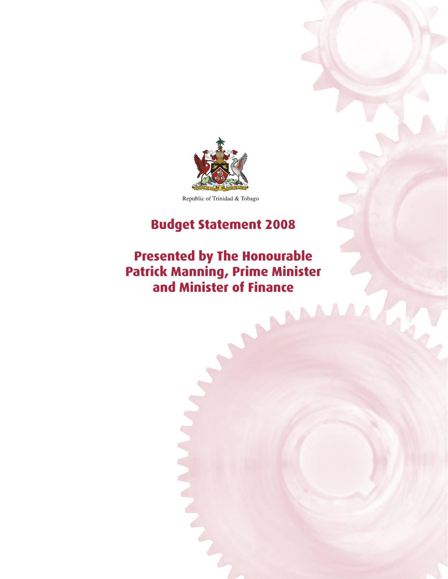

Republic of Trinidad & Tobago

# **Budget Statement 2008**

# **Presented by The Honourable Patrick Manning, Prime Minister and Minister of Finance**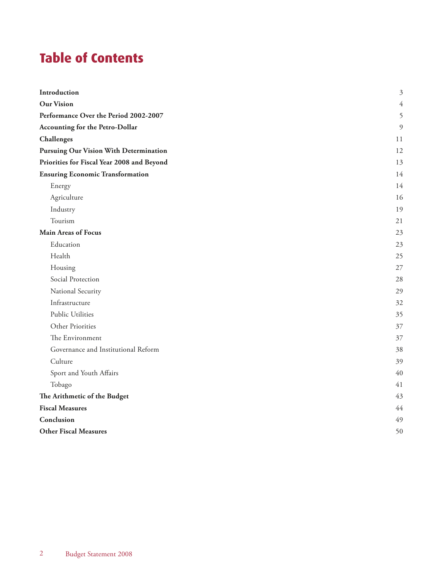# **Table of Contents**

| Introduction                                  | $\mathfrak{Z}$ |
|-----------------------------------------------|----------------|
| <b>Our Vision</b>                             |                |
| Performance Over the Period 2002-2007         |                |
| <b>Accounting for the Petro-Dollar</b>        | 9              |
| Challenges                                    | 11             |
| <b>Pursuing Our Vision With Determination</b> | 12             |
| Priorities for Fiscal Year 2008 and Beyond    | 13             |
| <b>Ensuring Economic Transformation</b>       | 14             |
| Energy                                        | 14             |
| Agriculture                                   | 16             |
| Industry                                      | 19             |
| Tourism                                       | 21             |
| <b>Main Areas of Focus</b>                    | 23             |
| Education                                     | 23             |
| Health                                        | 25             |
| Housing                                       | 27             |
| Social Protection                             | 28             |
| National Security                             | 29             |
| Infrastructure                                | 32             |
| Public Utilities                              | 35             |
| Other Priorities                              | 37             |
| The Environment                               | 37             |
| Governance and Institutional Reform           | 38             |
| Culture                                       | 39             |
| Sport and Youth Affairs                       | 40             |
| Tobago                                        | 41             |
| The Arithmetic of the Budget                  | 43             |
| <b>Fiscal Measures</b>                        |                |
| Conclusion                                    | 49             |
| <b>Other Fiscal Measures</b>                  | 50             |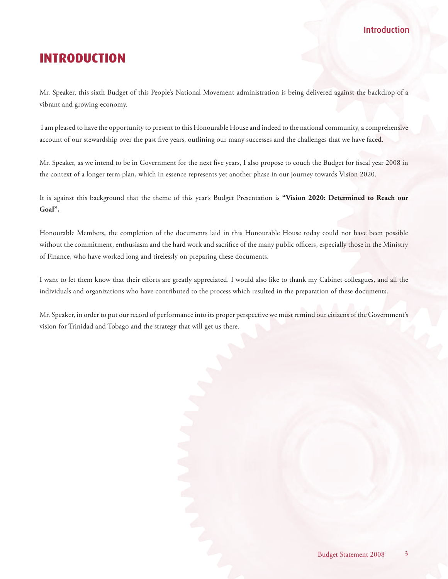## Introduction

## <span id="page-2-0"></span>**INTRODUCTION**

Mr. Speaker, this sixth Budget of this People's National Movement administration is being delivered against the backdrop of a vibrant and growing economy.

 I am pleased to have the opportunity to present to this Honourable House and indeed to the national community, a comprehensive account of our stewardship over the past five years, outlining our many successes and the challenges that we have faced.

Mr. Speaker, as we intend to be in Government for the next five years, I also propose to couch the Budget for fiscal year 2008 in the context of a longer term plan, which in essence represents yet another phase in our journey towards Vision 2020.

It is against this background that the theme of this year's Budget Presentation is **"Vision 2020: Determined to Reach our Goal".**

Honourable Members, the completion of the documents laid in this Honourable House today could not have been possible without the commitment, enthusiasm and the hard work and sacrifice of the many public officers, especially those in the Ministry of Finance, who have worked long and tirelessly on preparing these documents.

I want to let them know that their efforts are greatly appreciated. I would also like to thank my Cabinet colleagues, and all the individuals and organizations who have contributed to the process which resulted in the preparation of these documents.

Mr. Speaker, in order to put our record of performance into its proper perspective we must remind our citizens of the Government's vision for Trinidad and Tobago and the strategy that will get us there.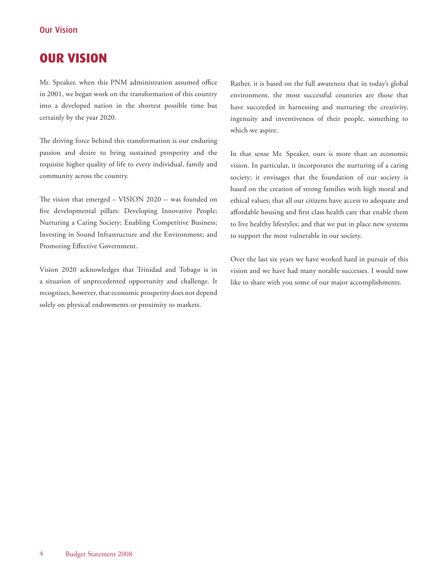## <span id="page-3-0"></span>**OUR VISION**

Mr. Speaker, when this PNM administration assumed office in 2001, we began work on the transformation of this country into a developed nation in the shortest possible time but certainly by the year 2020.

The driving force behind this transformation is our enduring passion and desire to bring sustained prosperity and the requisite higher quality of life to every individual, family and community across the country.

The vision that emerged – VISION 2020 -- was founded on five developmental pillars: Developing Innovative People; Nurturing a Caring Society; Enabling Competitive Business; Investing in Sound Infrastructure and the Environment; and Promoting Effective Government.

Vision 2020 acknowledges that Trinidad and Tobago is in a situation of unprecedented opportunity and challenge. It recognizes, however, that economic prosperity does not depend solely on physical endowments or proximity to markets.

Rather, it is based on the full awareness that in today's global environment, the most successful countries are those that have succeeded in harnessing and nurturing the creativity, ingenuity and inventiveness of their people, something to which we aspire.

In that sense Mr. Speaker, ours is more than an economic vision. In particular, it incorporates the nurturing of a caring society; it envisages that the foundation of our society is based on the creation of strong families with high moral and ethical values; that all our citizens have access to adequate and affordable housing and first class health care that enable them to live healthy lifestyles; and that we put in place new systems to support the most vulnerable in our society.

Over the last six years we have worked hard in pursuit of this vision and we have had many notable successes. I would now like to share with you some of our major accomplishments.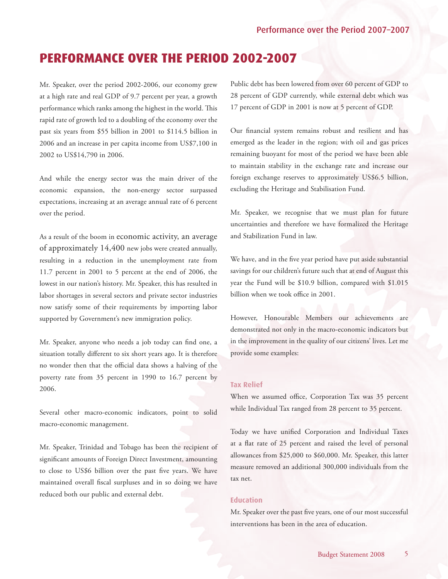## <span id="page-4-0"></span>**PERFORMANCE OVER THE PERIOD 2002-2007**

Mr. Speaker, over the period 2002-2006, our economy grew at a high rate and real GDP of 9.7 percent per year, a growth performance which ranks among the highest in the world. This rapid rate of growth led to a doubling of the economy over the past six years from \$55 billion in 2001 to \$114.5 billion in 2006 and an increase in per capita income from US\$7,100 in 2002 to US\$14,790 in 2006.

And while the energy sector was the main driver of the economic expansion, the non-energy sector surpassed expectations, increasing at an average annual rate of 6 percent over the period.

As a result of the boom in economic activity, an average of approximately 14,400 new jobs were created annually, resulting in a reduction in the unemployment rate from 11.7 percent in 2001 to 5 percent at the end of 2006, the lowest in our nation's history. Mr. Speaker, this has resulted in labor shortages in several sectors and private sector industries now satisfy some of their requirements by importing labor supported by Government's new immigration policy.

Mr. Speaker, anyone who needs a job today can find one, a situation totally different to six short years ago. It is therefore no wonder then that the official data shows a halving of the poverty rate from 35 percent in 1990 to 16.7 percent by 2006.

Several other macro-economic indicators, point to solid macro-economic management.

Mr. Speaker, Trinidad and Tobago has been the recipient of significant amounts of Foreign Direct Investment, amounting to close to US\$6 billion over the past five years. We have maintained overall fiscal surpluses and in so doing we have reduced both our public and external debt.

Public debt has been lowered from over 60 percent of GDP to 28 percent of GDP currently, while external debt which was 17 percent of GDP in 2001 is now at 5 percent of GDP.

Our financial system remains robust and resilient and has emerged as the leader in the region; with oil and gas prices remaining buoyant for most of the period we have been able to maintain stability in the exchange rate and increase our foreign exchange reserves to approximately US\$6.5 billion, excluding the Heritage and Stabilisation Fund.

Mr. Speaker, we recognise that we must plan for future uncertainties and therefore we have formalized the Heritage and Stabilization Fund in law.

We have, and in the five year period have put aside substantial savings for our children's future such that at end of August this year the Fund will be \$10.9 billion, compared with \$1.015 billion when we took office in 2001.

However, Honourable Members our achievements are demonstrated not only in the macro-economic indicators but in the improvement in the quality of our citizens' lives. Let me provide some examples:

#### **Tax Relief**

When we assumed office, Corporation Tax was 35 percent while Individual Tax ranged from 28 percent to 35 percent.

Today we have unified Corporation and Individual Taxes at a flat rate of 25 percent and raised the level of personal allowances from \$25,000 to \$60,000. Mr. Speaker, this latter measure removed an additional 300,000 individuals from the tax net.

#### **Education**

Mr. Speaker over the past five years, one of our most successful interventions has been in the area of education.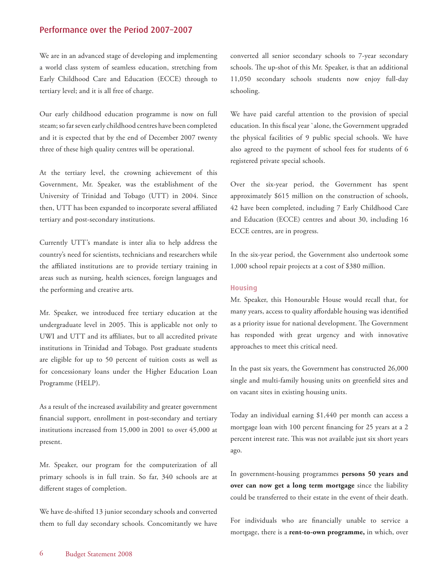We are in an advanced stage of developing and implementing a world class system of seamless education, stretching from Early Childhood Care and Education (ECCE) through to tertiary level; and it is all free of charge.

Our early childhood education programme is now on full steam; so far seven early childhood centres have been completed and it is expected that by the end of December 2007 twenty three of these high quality centres will be operational.

At the tertiary level, the crowning achievement of this Government, Mr. Speaker, was the establishment of the University of Trinidad and Tobago (UTT) in 2004. Since then, UTT has been expanded to incorporate several affiliated tertiary and post-secondary institutions.

Currently UTT's mandate is inter alia to help address the country's need for scientists, technicians and researchers while the affiliated institutions are to provide tertiary training in areas such as nursing, health sciences, foreign languages and the performing and creative arts.

Mr. Speaker, we introduced free tertiary education at the undergraduate level in 2005. This is applicable not only to UWI and UTT and its affiliates, but to all accredited private institutions in Trinidad and Tobago. Post graduate students are eligible for up to 50 percent of tuition costs as well as for concessionary loans under the Higher Education Loan Programme (HELP).

As a result of the increased availability and greater government financial support, enrollment in post-secondary and tertiary institutions increased from 15,000 in 2001 to over 45,000 at present.

Mr. Speaker, our program for the computerization of all primary schools is in full train. So far, 340 schools are at different stages of completion.

We have de-shifted 13 junior secondary schools and converted them to full day secondary schools. Concomitantly we have converted all senior secondary schools to 7-year secondary schools. The up-shot of this Mr. Speaker, is that an additional 11,050 secondary schools students now enjoy full-day schooling.

We have paid careful attention to the provision of special education. In this fiscal year `alone, the Government upgraded the physical facilities of 9 public special schools. We have also agreed to the payment of school fees for students of 6 registered private special schools.

Over the six-year period, the Government has spent approximately \$615 million on the construction of schools, 42 have been completed, including 7 Early Childhood Care and Education (ECCE) centres and about 30, including 16 ECCE centres, are in progress.

In the six-year period, the Government also undertook some 1,000 school repair projects at a cost of \$380 million.

#### **Housing**

Mr. Speaker, this Honourable House would recall that, for many years, access to quality affordable housing was identified as a priority issue for national development. The Government has responded with great urgency and with innovative approaches to meet this critical need.

In the past six years, the Government has constructed 26,000 single and multi-family housing units on greenfield sites and on vacant sites in existing housing units.

Today an individual earning \$1,440 per month can access a mortgage loan with 100 percent financing for 25 years at a 2 percent interest rate. This was not available just six short years ago.

In government-housing programmes **persons 50 years and over can now get a long term mortgage** since the liability could be transferred to their estate in the event of their death.

For individuals who are financially unable to service a mortgage, there is a **rent-to-own programme,** in which, over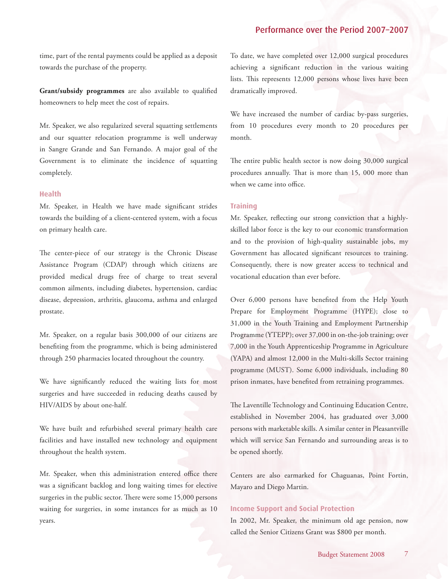time, part of the rental payments could be applied as a deposit towards the purchase of the property.

**Grant/subsidy programmes** are also available to qualified homeowners to help meet the cost of repairs.

Mr. Speaker, we also regularized several squatting settlements and our squatter relocation programme is well underway in Sangre Grande and San Fernando. A major goal of the Government is to eliminate the incidence of squatting completely.

#### **Health**

Mr. Speaker, in Health we have made significant strides towards the building of a client-centered system, with a focus on primary health care.

The center-piece of our strategy is the Chronic Disease Assistance Program (CDAP) through which citizens are provided medical drugs free of charge to treat several common ailments, including diabetes, hypertension, cardiac disease, depression, arthritis, glaucoma, asthma and enlarged prostate.

Mr. Speaker, on a regular basis 300,000 of our citizens are benefiting from the programme, which is being administered through 250 pharmacies located throughout the country.

We have significantly reduced the waiting lists for most surgeries and have succeeded in reducing deaths caused by HIV/AIDS by about one-half.

We have built and refurbished several primary health care facilities and have installed new technology and equipment throughout the health system.

Mr. Speaker, when this administration entered office there was a significant backlog and long waiting times for elective surgeries in the public sector. There were some 15,000 persons waiting for surgeries, in some instances for as much as 10 years.

To date, we have completed over 12,000 surgical procedures achieving a significant reduction in the various waiting lists. This represents 12,000 persons whose lives have been dramatically improved.

We have increased the number of cardiac by-pass surgeries, from 10 procedures every month to 20 procedures per month.

The entire public health sector is now doing 30,000 surgical procedures annually. That is more than 15, 000 more than when we came into office.

#### **Training**

Mr. Speaker, reflecting our strong conviction that a highlyskilled labor force is the key to our economic transformation and to the provision of high-quality sustainable jobs, my Government has allocated significant resources to training. Consequently, there is now greater access to technical and vocational education than ever before.

Over 6,000 persons have benefited from the Help Youth Prepare for Employment Programme (HYPE); close to 31,000 in the Youth Training and Employment Partnership Programme (YTEPP); over 37,000 in on-the-job training; over 7,000 in the Youth Apprenticeship Programme in Agriculture (YAPA) and almost 12,000 in the Multi-skills Sector training programme (MUST). Some 6,000 individuals, including 80 prison inmates, have benefited from retraining programmes.

The Laventille Technology and Continuing Education Centre, established in November 2004, has graduated over 3,000 persons with marketable skills. A similar center in Pleasantville which will service San Fernando and surrounding areas is to be opened shortly.

Centers are also earmarked for Chaguanas, Point Fortin, Mayaro and Diego Martin.

#### **Income Support and Social Protection**

In 2002, Mr. Speaker, the minimum old age pension, now called the Senior Citizens Grant was \$800 per month.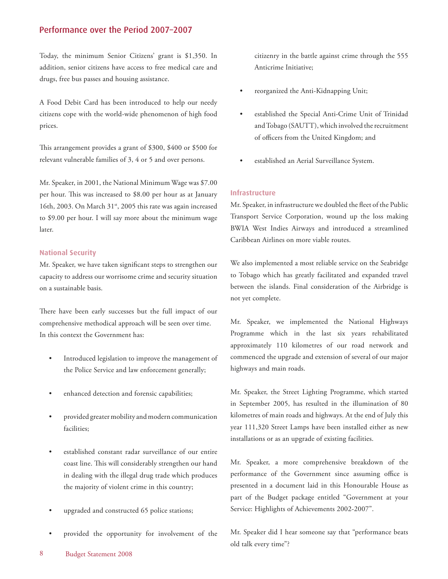Today, the minimum Senior Citizens' grant is \$1,350. In addition, senior citizens have access to free medical care and drugs, free bus passes and housing assistance.

A Food Debit Card has been introduced to help our needy citizens cope with the world-wide phenomenon of high food prices.

This arrangement provides a grant of \$300, \$400 or \$500 for relevant vulnerable families of 3, 4 or 5 and over persons.

Mr. Speaker, in 2001, the National Minimum Wage was \$7.00 per hour. This was increased to \$8.00 per hour as at January 16th, 2003. On March 31<sup>st</sup>, 2005 this rate was again increased to \$9.00 per hour. I will say more about the minimum wage later.

#### **National Security**

Mr. Speaker, we have taken significant steps to strengthen our capacity to address our worrisome crime and security situation on a sustainable basis.

There have been early successes but the full impact of our comprehensive methodical approach will be seen over time. In this context the Government has:

- Introduced legislation to improve the management of the Police Service and law enforcement generally;
- enhanced detection and forensic capabilities;
- provided greater mobility and modern communication facilities;
- established constant radar surveillance of our entire coast line. This will considerably strengthen our hand in dealing with the illegal drug trade which produces the majority of violent crime in this country;
- upgraded and constructed 65 police stations;
- provided the opportunity for involvement of the

citizenry in the battle against crime through the 555 Anticrime Initiative;

- reorganized the Anti-Kidnapping Unit;
- established the Special Anti-Crime Unit of Trinidad and Tobago (SAUTT), which involved the recruitment of officers from the United Kingdom; and
- established an Aerial Surveillance System.

#### **Infrastructure**

Mr. Speaker, in infrastructure we doubled the fleet of the Public Transport Service Corporation, wound up the loss making BWIA West Indies Airways and introduced a streamlined Caribbean Airlines on more viable routes.

We also implemented a most reliable service on the Seabridge to Tobago which has greatly facilitated and expanded travel between the islands. Final consideration of the Airbridge is not yet complete.

Mr. Speaker, we implemented the National Highways Programme which in the last six years rehabilitated approximately 110 kilometres of our road network and commenced the upgrade and extension of several of our major highways and main roads.

Mr. Speaker, the Street Lighting Programme, which started in September 2005, has resulted in the illumination of 80 kilometres of main roads and highways. At the end of July this year 111,320 Street Lamps have been installed either as new installations or as an upgrade of existing facilities.

Mr. Speaker, a more comprehensive breakdown of the performance of the Government since assuming office is presented in a document laid in this Honourable House as part of the Budget package entitled "Government at your Service: Highlights of Achievements 2002-2007".

Mr. Speaker did I hear someone say that "performance beats old talk every time"?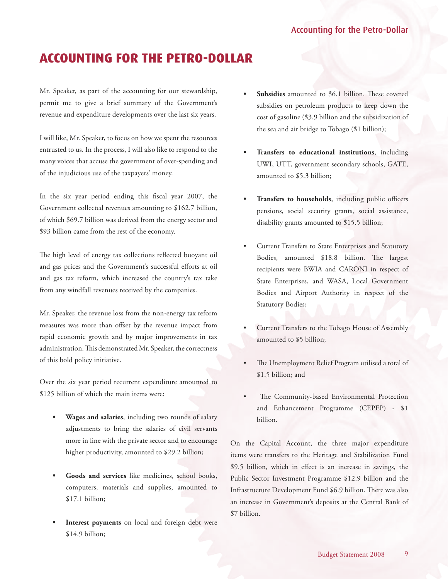# <span id="page-8-0"></span>**ACCOUNTING FOR THE PETRO-DOLLAR**

Mr. Speaker, as part of the accounting for our stewardship, permit me to give a brief summary of the Government's revenue and expenditure developments over the last six years.

I will like, Mr. Speaker, to focus on how we spent the resources entrusted to us. In the process, I will also like to respond to the many voices that accuse the government of over-spending and of the injudicious use of the taxpayers' money.

In the six year period ending this fiscal year 2007, the Government collected revenues amounting to \$162.7 billion, of which \$69.7 billion was derived from the energy sector and \$93 billion came from the rest of the economy.

The high level of energy tax collections reflected buoyant oil and gas prices and the Government's successful efforts at oil and gas tax reform, which increased the country's tax take from any windfall revenues received by the companies.

Mr. Speaker, the revenue loss from the non-energy tax reform measures was more than offset by the revenue impact from rapid economic growth and by major improvements in tax administration. This demonstrated Mr. Speaker, the correctness of this bold policy initiative.

Over the six year period recurrent expenditure amounted to \$125 billion of which the main items were:

- **Wages and salaries**, including two rounds of salary adjustments to bring the salaries of civil servants more in line with the private sector and to encourage higher productivity, amounted to \$29.2 billion;
- **Goods and services** like medicines, school books, computers, materials and supplies, amounted to \$17.1 billion;
- Interest payments on local and foreign debt were \$14.9 billion;
- **Subsidies** amounted to \$6.1 billion. These covered subsidies on petroleum products to keep down the cost of gasoline (\$3.9 billion and the subsidization of the sea and air bridge to Tobago (\$1 billion);
- **Transfers to educational institutions**, including UWI, UTT, government secondary schools, GATE, amounted to \$5.3 billion;
- **Transfers to households**, including public officers pensions, social security grants, social assistance, disability grants amounted to \$15.5 billion;
- Current Transfers to State Enterprises and Statutory Bodies, amounted \$18.8 billion. The largest recipients were BWIA and CARONI in respect of State Enterprises, and WASA, Local Government Bodies and Airport Authority in respect of the Statutory Bodies;
- Current Transfers to the Tobago House of Assembly amounted to \$5 billion;
- The Unemployment Relief Program utilised a total of \$1.5 billion; and
- The Community-based Environmental Protection and Enhancement Programme (CEPEP) - \$1 billion.

On the Capital Account, the three major expenditure items were transfers to the Heritage and Stabilization Fund \$9.5 billion, which in effect is an increase in savings, the Public Sector Investment Programme \$12.9 billion and the Infrastructure Development Fund \$6.9 billion. There was also an increase in Government's deposits at the Central Bank of \$7 billion.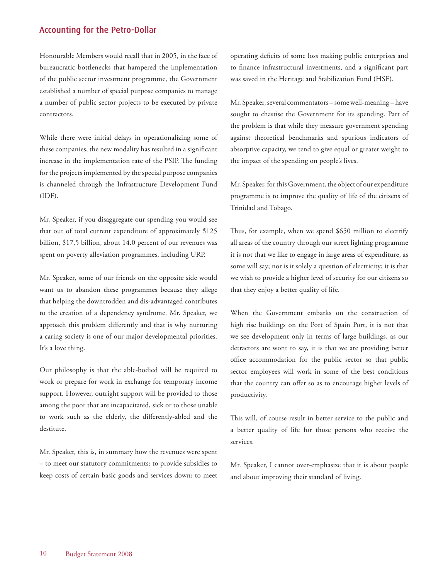## Accounting for the Petro-Dollar

Honourable Members would recall that in 2005, in the face of bureaucratic bottlenecks that hampered the implementation of the public sector investment programme, the Government established a number of special purpose companies to manage a number of public sector projects to be executed by private contractors.

While there were initial delays in operationalizing some of these companies, the new modality has resulted in a significant increase in the implementation rate of the PSIP. The funding for the projects implemented by the special purpose companies is channeled through the Infrastructure Development Fund (IDF).

Mr. Speaker, if you disaggregate our spending you would see that out of total current expenditure of approximately \$125 billion, \$17.5 billion, about 14.0 percent of our revenues was spent on poverty alleviation programmes, including URP.

Mr. Speaker, some of our friends on the opposite side would want us to abandon these programmes because they allege that helping the downtrodden and dis-advantaged contributes to the creation of a dependency syndrome. Mr. Speaker, we approach this problem differently and that is why nurturing a caring society is one of our major developmental priorities. It's a love thing.

Our philosophy is that the able-bodied will be required to work or prepare for work in exchange for temporary income support. However, outright support will be provided to those among the poor that are incapacitated, sick or to those unable to work such as the elderly, the differently-abled and the destitute.

Mr. Speaker, this is, in summary how the revenues were spent – to meet our statutory commitments; to provide subsidies to keep costs of certain basic goods and services down; to meet

operating deficits of some loss making public enterprises and to finance infrastructural investments, and a significant part was saved in the Heritage and Stabilization Fund (HSF).

Mr. Speaker, several commentators – some well-meaning – have sought to chastise the Government for its spending. Part of the problem is that while they measure government spending against theoretical benchmarks and spurious indicators of absorptive capacity, we tend to give equal or greater weight to the impact of the spending on people's lives.

Mr. Speaker, for this Government, the object of our expenditure programme is to improve the quality of life of the citizens of Trinidad and Tobago.

Thus, for example, when we spend \$650 million to electrify all areas of the country through our street lighting programme it is not that we like to engage in large areas of expenditure, as some will say; nor is it solely a question of electricity; it is that we wish to provide a higher level of security for our citizens so that they enjoy a better quality of life.

When the Government embarks on the construction of high rise buildings on the Port of Spain Port, it is not that we see development only in terms of large buildings, as our detractors are wont to say, it is that we are providing better office accommodation for the public sector so that public sector employees will work in some of the best conditions that the country can offer so as to encourage higher levels of productivity.

This will, of course result in better service to the public and a better quality of life for those persons who receive the services.

Mr. Speaker, I cannot over-emphasize that it is about people and about improving their standard of living.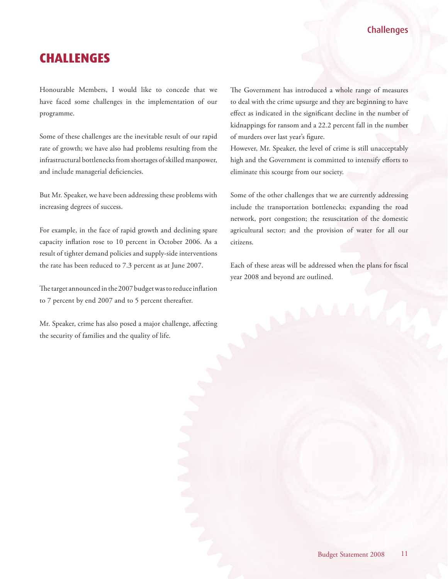## **Challenges**

## <span id="page-10-0"></span>**CHALLENGES**

Honourable Members, I would like to concede that we have faced some challenges in the implementation of our programme.

Some of these challenges are the inevitable result of our rapid rate of growth; we have also had problems resulting from the infrastructural bottlenecks from shortages of skilled manpower, and include managerial deficiencies.

But Mr. Speaker, we have been addressing these problems with increasing degrees of success.

For example, in the face of rapid growth and declining spare capacity inflation rose to 10 percent in October 2006. As a result of tighter demand policies and supply-side interventions the rate has been reduced to 7.3 percent as at June 2007.

The target announced in the 2007 budget was to reduce inflation to 7 percent by end 2007 and to 5 percent thereafter.

Mr. Speaker, crime has also posed a major challenge, affecting the security of families and the quality of life.

The Government has introduced a whole range of measures to deal with the crime upsurge and they are beginning to have effect as indicated in the significant decline in the number of kidnappings for ransom and a 22.2 percent fall in the number of murders over last year's figure.

However, Mr. Speaker, the level of crime is still unacceptably high and the Government is committed to intensify efforts to eliminate this scourge from our society.

Some of the other challenges that we are currently addressing include the transportation bottlenecks; expanding the road network, port congestion; the resuscitation of the domestic agricultural sector; and the provision of water for all our citizens.

Each of these areas will be addressed when the plans for fiscal year 2008 and beyond are outlined.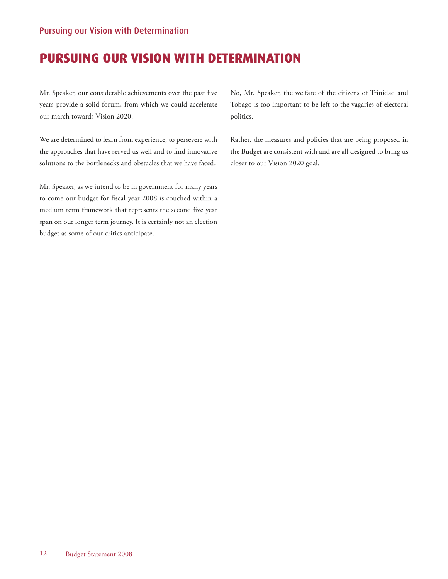## <span id="page-11-0"></span>Pursuing our Vision with Determination

## **PURSUING OUR VISION WITH DETERMINATION**

Mr. Speaker, our considerable achievements over the past five years provide a solid forum, from which we could accelerate our march towards Vision 2020.

We are determined to learn from experience; to persevere with the approaches that have served us well and to find innovative solutions to the bottlenecks and obstacles that we have faced.

Mr. Speaker, as we intend to be in government for many years to come our budget for fiscal year 2008 is couched within a medium term framework that represents the second five year span on our longer term journey. It is certainly not an election budget as some of our critics anticipate.

No, Mr. Speaker, the welfare of the citizens of Trinidad and Tobago is too important to be left to the vagaries of electoral politics.

Rather, the measures and policies that are being proposed in the Budget are consistent with and are all designed to bring us closer to our Vision 2020 goal.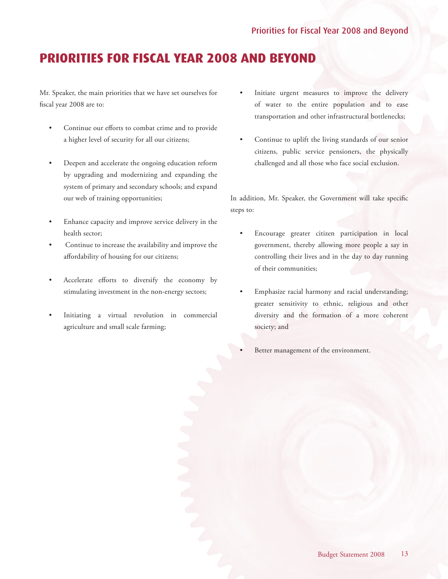# <span id="page-12-0"></span>**PRIORITIES FOR FISCAL YEAR 2008 AND BEYOND**

Mr. Speaker, the main priorities that we have set ourselves for fiscal year 2008 are to:

- Continue our efforts to combat crime and to provide a higher level of security for all our citizens;
- Deepen and accelerate the ongoing education reform by upgrading and modernizing and expanding the system of primary and secondary schools; and expand our web of training opportunities;
- Enhance capacity and improve service delivery in the health sector;
- Continue to increase the availability and improve the affordability of housing for our citizens;
- Accelerate efforts to diversify the economy by stimulating investment in the non-energy sectors;
- Initiating a virtual revolution in commercial agriculture and small scale farming;
- Initiate urgent measures to improve the delivery of water to the entire population and to ease transportation and other infrastructural bottlenecks;
- Continue to uplift the living standards of our senior citizens, public service pensioners, the physically challenged and all those who face social exclusion.

In addition, Mr. Speaker, the Government will take specific steps to:

- Encourage greater citizen participation in local government, thereby allowing more people a say in controlling their lives and in the day to day running of their communities;
- Emphasize racial harmony and racial understanding; greater sensitivity to ethnic, religious and other diversity and the formation of a more coherent society; and
	- Better management of the environment.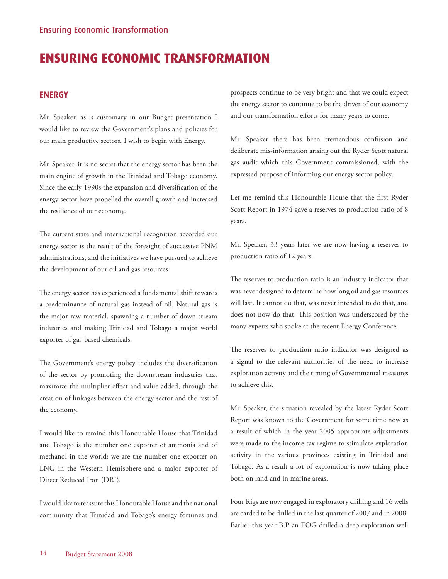# <span id="page-13-0"></span>**ENSURING ECONOMIC TRANSFORMATION**

## **ENERGY**

Mr. Speaker, as is customary in our Budget presentation I would like to review the Government's plans and policies for our main productive sectors. I wish to begin with Energy.

Mr. Speaker, it is no secret that the energy sector has been the main engine of growth in the Trinidad and Tobago economy. Since the early 1990s the expansion and diversification of the energy sector have propelled the overall growth and increased the resilience of our economy.

The current state and international recognition accorded our energy sector is the result of the foresight of successive PNM administrations, and the initiatives we have pursued to achieve the development of our oil and gas resources.

The energy sector has experienced a fundamental shift towards a predominance of natural gas instead of oil. Natural gas is the major raw material, spawning a number of down stream industries and making Trinidad and Tobago a major world exporter of gas-based chemicals.

The Government's energy policy includes the diversification of the sector by promoting the downstream industries that maximize the multiplier effect and value added, through the creation of linkages between the energy sector and the rest of the economy.

I would like to remind this Honourable House that Trinidad and Tobago is the number one exporter of ammonia and of methanol in the world; we are the number one exporter on LNG in the Western Hemisphere and a major exporter of Direct Reduced Iron (DRI).

I would like to reassure this Honourable House and the national community that Trinidad and Tobago's energy fortunes and prospects continue to be very bright and that we could expect the energy sector to continue to be the driver of our economy and our transformation efforts for many years to come.

Mr. Speaker there has been tremendous confusion and deliberate mis-information arising out the Ryder Scott natural gas audit which this Government commissioned, with the expressed purpose of informing our energy sector policy.

Let me remind this Honourable House that the first Ryder Scott Report in 1974 gave a reserves to production ratio of 8 years.

Mr. Speaker, 33 years later we are now having a reserves to production ratio of 12 years.

The reserves to production ratio is an industry indicator that was never designed to determine how long oil and gas resources will last. It cannot do that, was never intended to do that, and does not now do that. This position was underscored by the many experts who spoke at the recent Energy Conference.

The reserves to production ratio indicator was designed as a signal to the relevant authorities of the need to increase exploration activity and the timing of Governmental measures to achieve this.

Mr. Speaker, the situation revealed by the latest Ryder Scott Report was known to the Government for some time now as a result of which in the year 2005 appropriate adjustments were made to the income tax regime to stimulate exploration activity in the various provinces existing in Trinidad and Tobago. As a result a lot of exploration is now taking place both on land and in marine areas.

Four Rigs are now engaged in exploratory drilling and 16 wells are carded to be drilled in the last quarter of 2007 and in 2008. Earlier this year B.P an EOG drilled a deep exploration well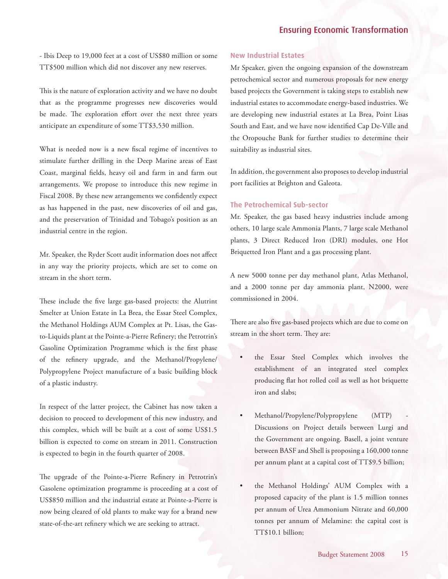- Ibis Deep to 19,000 feet at a cost of US\$80 million or some TT\$500 million which did not discover any new reserves.

This is the nature of exploration activity and we have no doubt that as the programme progresses new discoveries would be made. The exploration effort over the next three years anticipate an expenditure of some TT\$3,530 million.

What is needed now is a new fiscal regime of incentives to stimulate further drilling in the Deep Marine areas of East Coast, marginal fields, heavy oil and farm in and farm out arrangements. We propose to introduce this new regime in Fiscal 2008. By these new arrangements we confidently expect as has happened in the past, new discoveries of oil and gas, and the preservation of Trinidad and Tobago's position as an industrial centre in the region.

Mr. Speaker, the Ryder Scott audit information does not affect in any way the priority projects, which are set to come on stream in the short term.

These include the five large gas-based projects: the Alutrint Smelter at Union Estate in La Brea, the Essar Steel Complex, the Methanol Holdings AUM Complex at Pt. Lisas, the Gasto-Liquids plant at the Pointe-a-Pierre Refinery; the Petrotrin's Gasoline Optimization Programme which is the first phase of the refinery upgrade, and the Methanol/Propylene/ Polypropylene Project manufacture of a basic building block of a plastic industry.

In respect of the latter project, the Cabinet has now taken a decision to proceed to development of this new industry, and this complex, which will be built at a cost of some US\$1.5 billion is expected to come on stream in 2011. Construction is expected to begin in the fourth quarter of 2008.

The upgrade of the Pointe-a-Pierre Refinery in Petrotrin's Gasolene optimization programme is proceeding at a cost of US\$850 million and the industrial estate at Pointe-a-Pierre is now being cleared of old plants to make way for a brand new state-of-the-art refinery which we are seeking to attract.

#### **New Industrial Estates**

Mr Speaker, given the ongoing expansion of the downstream petrochemical sector and numerous proposals for new energy based projects the Government is taking steps to establish new industrial estates to accommodate energy-based industries. We are developing new industrial estates at La Brea, Point Lisas South and East, and we have now identified Cap De-Ville and the Oropouche Bank for further studies to determine their suitability as industrial sites.

In addition, the government also proposes to develop industrial port facilities at Brighton and Galeota.

## **The Petrochemical Sub-sector**

Mr. Speaker, the gas based heavy industries include among others, 10 large scale Ammonia Plants, 7 large scale Methanol plants, 3 Direct Reduced Iron (DRI) modules, one Hot Briquetted Iron Plant and a gas processing plant.

A new 5000 tonne per day methanol plant, Atlas Methanol, and a 2000 tonne per day ammonia plant, N2000, were commissioned in 2004.

There are also five gas-based projects which are due to come on stream in the short term. They are:

- the Essar Steel Complex which involves the establishment of an integrated steel complex producing flat hot rolled coil as well as hot briquette iron and slabs;
- Methanol/Propylene/Polypropylene (MTP) Discussions on Project details between Lurgi and the Government are ongoing. Basell, a joint venture between BASF and Shell is proposing a 160,000 tonne per annum plant at a capital cost of TT\$9.5 billion;
- the Methanol Holdings' AUM Complex with a proposed capacity of the plant is 1.5 million tonnes per annum of Urea Ammonium Nitrate and 60,000 tonnes per annum of Melamine: the capital cost is TT\$10.1 billion;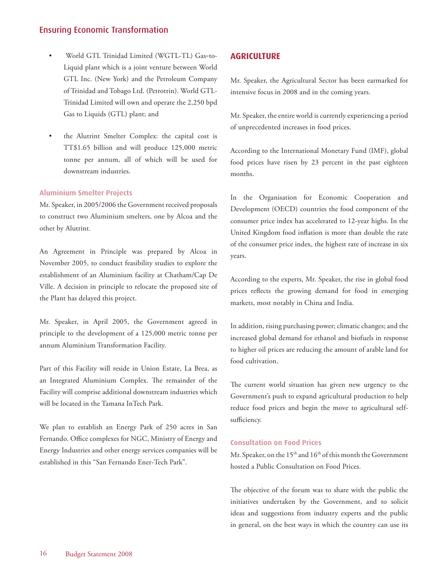- <span id="page-15-0"></span>• World GTL Trinidad Limited (WGTL-TL) Gas-to-Liquid plant which is a joint venture between World GTL Inc. (New York) and the Petroleum Company of Trinidad and Tobago Ltd. (Petrotrin). World GTL-Trinidad Limited will own and operate the 2,250 bpd Gas to Liquids (GTL) plant; and
- the Alutrint Smelter Complex: the capital cost is TT\$1.65 billion and will produce 125,000 metric tonne per annum, all of which will be used for downstream industries.

### **Aluminium Smelter Projects**

Mr. Speaker, in 2005/2006 the Government received proposals to construct two Aluminium smelters, one by Alcoa and the other by Alutrint.

An Agreement in Principle was prepared by Alcoa in November 2005, to conduct feasibility studies to explore the establishment of an Aluminium facility at Chatham/Cap De Ville. A decision in principle to relocate the proposed site of the Plant has delayed this project.

Mr. Speaker, in April 2005, the Government agreed in principle to the development of a 125,000 metric tonne per annum Aluminium Transformation Facility.

Part of this Facility will reside in Union Estate, La Brea, as an Integrated Aluminium Complex. The remainder of the Facility will comprise additional downstream industries which will be located in the Tamana InTech Park.

We plan to establish an Energy Park of 250 acres in San Fernando. Office complexes for NGC, Ministry of Energy and Energy Industries and other energy services companies will be established in this "San Fernando Ener-Tech Park".

## **AGRICULTURE**

Mr. Speaker, the Agricultural Sector has been earmarked for intensive focus in 2008 and in the coming years.

Mr. Speaker, the entire world is currently experiencing a period of unprecedented increases in food prices.

According to the International Monetary Fund (IMF), global food prices have risen by 23 percent in the past eighteen months.

In the Organisation for Economic Cooperation and Development (OECD) countries the food component of the consumer price index has accelerated to 12-year highs. In the United Kingdom food inflation is more than double the rate of the consumer price index, the highest rate of increase in six years.

According to the experts, Mr. Speaker, the rise in global food prices reflects the growing demand for food in emerging markets, most notably in China and India.

In addition, rising purchasing power; climatic changes; and the increased global demand for ethanol and biofuels in response to higher oil prices are reducing the amount of arable land for food cultivation.

The current world situation has given new urgency to the Government's push to expand agricultural production to help reduce food prices and begin the move to agricultural selfsufficiency.

#### **Consultation on Food Prices**

Mr. Speaker, on the 15<sup>th</sup> and 16<sup>th</sup> of this month the Government hosted a Public Consultation on Food Prices.

The objective of the forum was to share with the public the initiatives undertaken by the Government, and to solicit ideas and suggestions from industry experts and the public in general, on the best ways in which the country can use its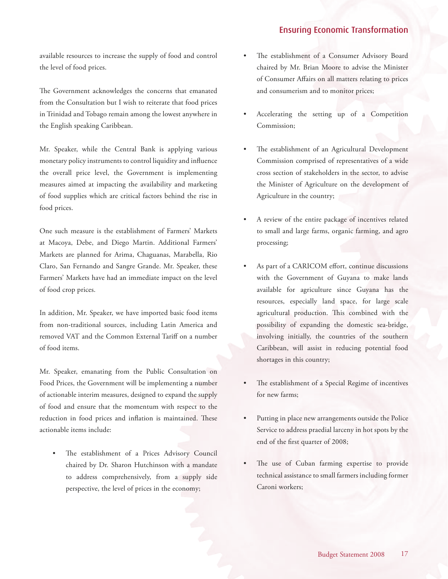available resources to increase the supply of food and control the level of food prices.

The Government acknowledges the concerns that emanated from the Consultation but I wish to reiterate that food prices in Trinidad and Tobago remain among the lowest anywhere in the English speaking Caribbean.

Mr. Speaker, while the Central Bank is applying various monetary policy instruments to control liquidity and influence the overall price level, the Government is implementing measures aimed at impacting the availability and marketing of food supplies which are critical factors behind the rise in food prices.

One such measure is the establishment of Farmers' Markets at Macoya, Debe, and Diego Martin. Additional Farmers' Markets are planned for Arima, Chaguanas, Marabella, Rio Claro, San Fernando and Sangre Grande. Mr. Speaker, these Farmers' Markets have had an immediate impact on the level of food crop prices.

In addition, Mr. Speaker, we have imported basic food items from non-traditional sources, including Latin America and removed VAT and the Common External Tariff on a number of food items.

Mr. Speaker, emanating from the Public Consultation on Food Prices, the Government will be implementing a number of actionable interim measures, designed to expand the supply of food and ensure that the momentum with respect to the reduction in food prices and inflation is maintained. These actionable items include:

The establishment of a Prices Advisory Council chaired by Dr. Sharon Hutchinson with a mandate to address comprehensively, from a supply side perspective, the level of prices in the economy;

- The establishment of a Consumer Advisory Board chaired by Mr. Brian Moore to advise the Minister of Consumer Affairs on all matters relating to prices and consumerism and to monitor prices;
- Accelerating the setting up of a Competition Commission;
- The establishment of an Agricultural Development Commission comprised of representatives of a wide cross section of stakeholders in the sector, to advise the Minister of Agriculture on the development of Agriculture in the country;
- A review of the entire package of incentives related to small and large farms, organic farming, and agro processing;
- As part of a CARICOM effort, continue discussions with the Government of Guyana to make lands available for agriculture since Guyana has the resources, especially land space, for large scale agricultural production. This combined with the possibility of expanding the domestic sea-bridge, involving initially, the countries of the southern Caribbean, will assist in reducing potential food shortages in this country;
- The establishment of a Special Regime of incentives for new farms;
- Putting in place new arrangements outside the Police Service to address praedial larceny in hot spots by the end of the first quarter of 2008;
- The use of Cuban farming expertise to provide technical assistance to small farmers including former Caroni workers;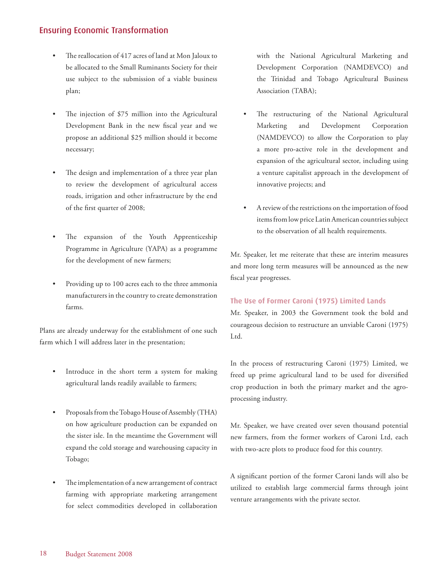- The reallocation of 417 acres of land at Mon Jaloux to be allocated to the Small Ruminants Society for their use subject to the submission of a viable business plan;
- The injection of \$75 million into the Agricultural Development Bank in the new fiscal year and we propose an additional \$25 million should it become necessary;
- The design and implementation of a three year plan to review the development of agricultural access roads, irrigation and other infrastructure by the end of the first quarter of 2008;
- The expansion of the Youth Apprenticeship Programme in Agriculture (YAPA) as a programme for the development of new farmers;
- Providing up to 100 acres each to the three ammonia manufacturers in the country to create demonstration farms.

Plans are already underway for the establishment of one such farm which I will address later in the presentation;

- Introduce in the short term a system for making agricultural lands readily available to farmers;
- Proposals from the Tobago House of Assembly (THA) on how agriculture production can be expanded on the sister isle. In the meantime the Government will expand the cold storage and warehousing capacity in Tobago;
- The implementation of a new arrangement of contract farming with appropriate marketing arrangement for select commodities developed in collaboration

with the National Agricultural Marketing and Development Corporation (NAMDEVCO) and the Trinidad and Tobago Agricultural Business Association (TABA);

- The restructuring of the National Agricultural Marketing and Development Corporation (NAMDEVCO) to allow the Corporation to play a more pro-active role in the development and expansion of the agricultural sector, including using a venture capitalist approach in the development of innovative projects; and
- A review of the restrictions on the importation of food items from low price Latin American countries subject to the observation of all health requirements.

Mr. Speaker, let me reiterate that these are interim measures and more long term measures will be announced as the new fiscal year progresses.

### **The Use of Former Caroni (1975) Limited Lands**

Mr. Speaker, in 2003 the Government took the bold and courageous decision to restructure an unviable Caroni (1975) Ltd.

In the process of restructuring Caroni (1975) Limited, we freed up prime agricultural land to be used for diversified crop production in both the primary market and the agroprocessing industry.

Mr. Speaker, we have created over seven thousand potential new farmers, from the former workers of Caroni Ltd, each with two-acre plots to produce food for this country.

A significant portion of the former Caroni lands will also be utilized to establish large commercial farms through joint venture arrangements with the private sector.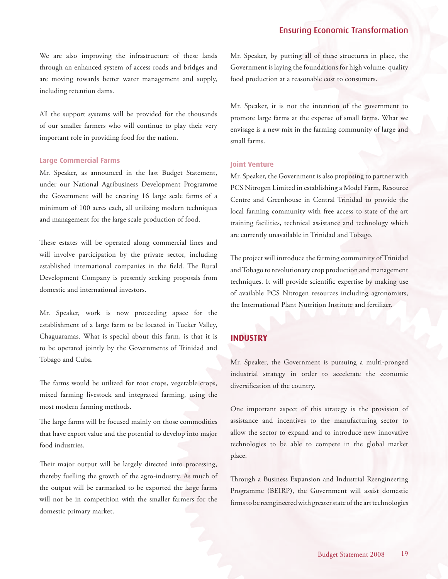<span id="page-18-0"></span>We are also improving the infrastructure of these lands through an enhanced system of access roads and bridges and are moving towards better water management and supply, including retention dams.

All the support systems will be provided for the thousands of our smaller farmers who will continue to play their very important role in providing food for the nation.

#### **Large Commercial Farms**

Mr. Speaker, as announced in the last Budget Statement, under our National Agribusiness Development Programme the Government will be creating 16 large scale farms of a minimum of 100 acres each, all utilizing modern techniques and management for the large scale production of food.

These estates will be operated along commercial lines and will involve participation by the private sector, including established international companies in the field. The Rural Development Company is presently seeking proposals from domestic and international investors.

Mr. Speaker, work is now proceeding apace for the establishment of a large farm to be located in Tucker Valley, Chaguaramas. What is special about this farm, is that it is to be operated jointly by the Governments of Trinidad and Tobago and Cuba.

The farms would be utilized for root crops, vegetable crops, mixed farming livestock and integrated farming, using the most modern farming methods.

The large farms will be focused mainly on those commodities that have export value and the potential to develop into major food industries.

Their major output will be largely directed into processing, thereby fuelling the growth of the agro-industry. As much of the output will be earmarked to be exported the large farms will not be in competition with the smaller farmers for the domestic primary market.

Mr. Speaker, by putting all of these structures in place, the Government is laying the foundations for high volume, quality food production at a reasonable cost to consumers.

Mr. Speaker, it is not the intention of the government to promote large farms at the expense of small farms. What we envisage is a new mix in the farming community of large and small farms.

#### **Joint Venture**

Mr. Speaker, the Government is also proposing to partner with PCS Nitrogen Limited in establishing a Model Farm, Resource Centre and Greenhouse in Central Trinidad to provide the local farming community with free access to state of the art training facilities, technical assistance and technology which are currently unavailable in Trinidad and Tobago.

The project will introduce the farming community of Trinidad and Tobago to revolutionary crop production and management techniques. It will provide scientific expertise by making use of available PCS Nitrogen resources including agronomists, the International Plant Nutrition Institute and fertilizer.

## **INDUSTRY**

Mr. Speaker, the Government is pursuing a multi-pronged industrial strategy in order to accelerate the economic diversification of the country.

One important aspect of this strategy is the provision of assistance and incentives to the manufacturing sector to allow the sector to expand and to introduce new innovative technologies to be able to compete in the global market place.

Through a Business Expansion and Industrial Reengineering Programme (BEIRP), the Government will assist domestic firms to be reengineered with greater state of the art technologies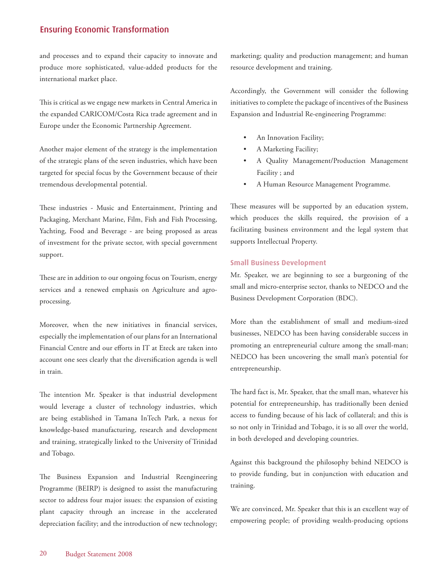and processes and to expand their capacity to innovate and produce more sophisticated, value-added products for the international market place.

This is critical as we engage new markets in Central America in the expanded CARICOM/Costa Rica trade agreement and in Europe under the Economic Partnership Agreement.

Another major element of the strategy is the implementation of the strategic plans of the seven industries, which have been targeted for special focus by the Government because of their tremendous developmental potential.

These industries - Music and Entertainment, Printing and Packaging, Merchant Marine, Film, Fish and Fish Processing, Yachting, Food and Beverage - are being proposed as areas of investment for the private sector, with special government support.

These are in addition to our ongoing focus on Tourism, energy services and a renewed emphasis on Agriculture and agroprocessing.

Moreover, when the new initiatives in financial services, especially the implementation of our plans for an International Financial Centre and our efforts in IT at Eteck are taken into account one sees clearly that the diversification agenda is well in train.

The intention Mr. Speaker is that industrial development would leverage a cluster of technology industries, which are being established in Tamana InTech Park, a nexus for knowledge-based manufacturing, research and development and training, strategically linked to the University of Trinidad and Tobago.

The Business Expansion and Industrial Reengineering Programme (BEIRP) is designed to assist the manufacturing sector to address four major issues: the expansion of existing plant capacity through an increase in the accelerated depreciation facility; and the introduction of new technology; marketing; quality and production management; and human resource development and training.

Accordingly, the Government will consider the following initiatives to complete the package of incentives of the Business Expansion and Industrial Re-engineering Programme:

- An Innovation Facility;
- A Marketing Facility;
- A Quality Management/Production Management Facility ; and
- A Human Resource Management Programme.

These measures will be supported by an education system, which produces the skills required, the provision of a facilitating business environment and the legal system that supports Intellectual Property.

#### **Small Business Development**

Mr. Speaker, we are beginning to see a burgeoning of the small and micro-enterprise sector, thanks to NEDCO and the Business Development Corporation (BDC).

More than the establishment of small and medium-sized businesses, NEDCO has been having considerable success in promoting an entrepreneurial culture among the small-man; NEDCO has been uncovering the small man's potential for entrepreneurship.

The hard fact is, Mr. Speaker, that the small man, whatever his potential for entrepreneurship, has traditionally been denied access to funding because of his lack of collateral; and this is so not only in Trinidad and Tobago, it is so all over the world, in both developed and developing countries.

Against this background the philosophy behind NEDCO is to provide funding, but in conjunction with education and training.

We are convinced, Mr. Speaker that this is an excellent way of empowering people; of providing wealth-producing options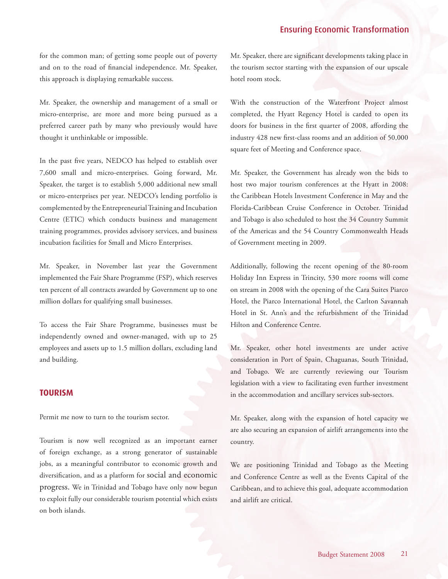<span id="page-20-0"></span>for the common man; of getting some people out of poverty and on to the road of financial independence. Mr. Speaker, this approach is displaying remarkable success.

Mr. Speaker, the ownership and management of a small or micro-enterprise, are more and more being pursued as a preferred career path by many who previously would have thought it unthinkable or impossible.

In the past five years, NEDCO has helped to establish over 7,600 small and micro-enterprises. Going forward, Mr. Speaker, the target is to establish 5,000 additional new small or micro-enterprises per year. NEDCO's lending portfolio is complemented by the Entrepreneurial Training and Incubation Centre (ETIC) which conducts business and management training programmes, provides advisory services, and business incubation facilities for Small and Micro Enterprises.

Mr. Speaker, in November last year the Government implemented the Fair Share Programme (FSP), which reserves ten percent of all contracts awarded by Government up to one million dollars for qualifying small businesses.

To access the Fair Share Programme, businesses must be independently owned and owner-managed, with up to 25 employees and assets up to 1.5 million dollars, excluding land and building.

### **TOURISM**

Permit me now to turn to the tourism sector.

Tourism is now well recognized as an important earner of foreign exchange, as a strong generator of sustainable jobs, as a meaningful contributor to economic growth and diversification, and as a platform for social and economic progress. We in Trinidad and Tobago have only now begun to exploit fully our considerable tourism potential which exists on both islands.

Mr. Speaker, there are significant developments taking place in the tourism sector starting with the expansion of our upscale hotel room stock.

With the construction of the Waterfront Project almost completed, the Hyatt Regency Hotel is carded to open its doors for business in the first quarter of 2008, affording the industry 428 new first-class rooms and an addition of 50,000 square feet of Meeting and Conference space.

Mr. Speaker, the Government has already won the bids to host two major tourism conferences at the Hyatt in 2008: the Caribbean Hotels Investment Conference in May and the Florida-Caribbean Cruise Conference in October. Trinidad and Tobago is also scheduled to host the 34 Country Summit of the Americas and the 54 Country Commonwealth Heads of Government meeting in 2009.

Additionally, following the recent opening of the 80-room Holiday Inn Express in Trincity, 530 more rooms will come on stream in 2008 with the opening of the Cara Suites Piarco Hotel, the Piarco International Hotel, the Carlton Savannah Hotel in St. Ann's and the refurbishment of the Trinidad Hilton and Conference Centre.

Mr. Speaker, other hotel investments are under active consideration in Port of Spain, Chaguanas, South Trinidad, and Tobago. We are currently reviewing our Tourism legislation with a view to facilitating even further investment in the accommodation and ancillary services sub-sectors.

Mr. Speaker, along with the expansion of hotel capacity we are also securing an expansion of airlift arrangements into the country.

We are positioning Trinidad and Tobago as the Meeting and Conference Centre as well as the Events Capital of the Caribbean, and to achieve this goal, adequate accommodation and airlift are critical.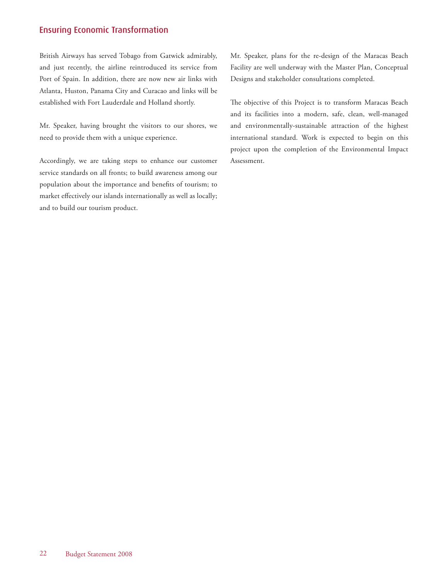British Airways has served Tobago from Gatwick admirably, and just recently, the airline reintroduced its service from Port of Spain. In addition, there are now new air links with Atlanta, Huston, Panama City and Curacao and links will be established with Fort Lauderdale and Holland shortly.

Mr. Speaker, having brought the visitors to our shores, we need to provide them with a unique experience.

Accordingly, we are taking steps to enhance our customer service standards on all fronts; to build awareness among our population about the importance and benefits of tourism; to market effectively our islands internationally as well as locally; and to build our tourism product.

Mr. Speaker, plans for the re-design of the Maracas Beach Facility are well underway with the Master Plan, Conceptual Designs and stakeholder consultations completed.

The objective of this Project is to transform Maracas Beach and its facilities into a modern, safe, clean, well-managed and environmentally-sustainable attraction of the highest international standard. Work is expected to begin on this project upon the completion of the Environmental Impact Assessment.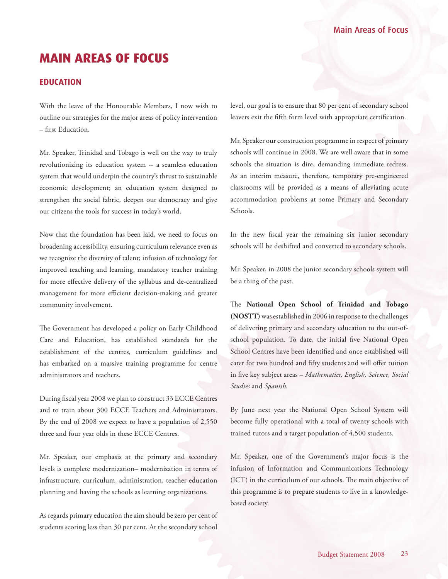# <span id="page-22-0"></span>**MAIN AREAS OF FOCUS**

## **EDUCATION**

With the leave of the Honourable Members, I now wish to outline our strategies for the major areas of policy intervention – first Education.

Mr. Speaker, Trinidad and Tobago is well on the way to truly revolutionizing its education system -- a seamless education system that would underpin the country's thrust to sustainable economic development; an education system designed to strengthen the social fabric, deepen our democracy and give our citizens the tools for success in today's world.

Now that the foundation has been laid, we need to focus on broadening accessibility, ensuring curriculum relevance even as we recognize the diversity of talent; infusion of technology for improved teaching and learning, mandatory teacher training for more effective delivery of the syllabus and de-centralized management for more efficient decision-making and greater community involvement.

The Government has developed a policy on Early Childhood Care and Education, has established standards for the establishment of the centres, curriculum guidelines and has embarked on a massive training programme for centre administrators and teachers.

During fiscal year 2008 we plan to construct 33 ECCE Centres and to train about 300 ECCE Teachers and Administrators. By the end of 2008 we expect to have a population of 2,550 three and four year olds in these ECCE Centres.

Mr. Speaker, our emphasis at the primary and secondary levels is complete modernization– modernization in terms of infrastructure, curriculum, administration, teacher education planning and having the schools as learning organizations.

As regards primary education the aim should be zero per cent of students scoring less than 30 per cent. At the secondary school

level, our goal is to ensure that 80 per cent of secondary school leavers exit the fifth form level with appropriate certification.

Mr. Speaker our construction programme in respect of primary schools will continue in 2008. We are well aware that in some schools the situation is dire, demanding immediate redress. As an interim measure, therefore, temporary pre-engineered classrooms will be provided as a means of alleviating acute accommodation problems at some Primary and Secondary Schools.

In the new fiscal year the remaining six junior secondary schools will be deshifted and converted to secondary schools.

Mr. Speaker, in 2008 the junior secondary schools system will be a thing of the past.

The **National Open School of Trinidad and Tobago (NOSTT)** was established in 2006 in response to the challenges of delivering primary and secondary education to the out-ofschool population. To date, the initial five National Open School Centres have been identified and once established will cater for two hundred and fifty students and will offer tuition in five key subject areas – *Mathematics, English, Science, Social Studies* and *Spanish.*

By June next year the National Open School System will become fully operational with a total of twenty schools with trained tutors and a target population of 4,500 students.

Mr. Speaker, one of the Government's major focus is the infusion of Information and Communications Technology (ICT) in the curriculum of our schools. The main objective of this programme is to prepare students to live in a knowledgebased society.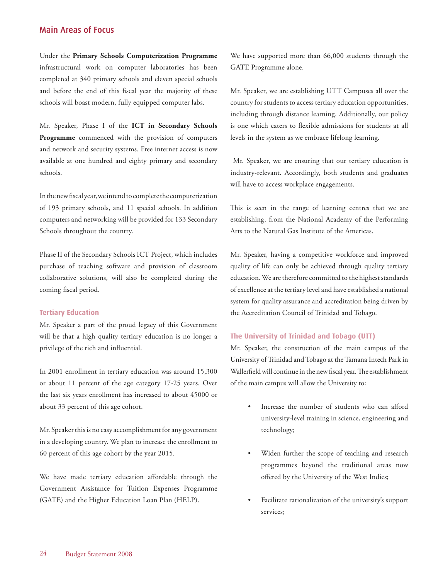Under the **Primary Schools Computerization Programme** infrastructural work on computer laboratories has been completed at 340 primary schools and eleven special schools and before the end of this fiscal year the majority of these schools will boast modern, fully equipped computer labs.

Mr. Speaker, Phase I of the **ICT in Secondary Schools Programme** commenced with the provision of computers and network and security systems. Free internet access is now available at one hundred and eighty primary and secondary schools.

In the new fiscal year, we intend to complete the computerization of 193 primary schools, and 11 special schools. In addition computers and networking will be provided for 133 Secondary Schools throughout the country.

Phase II of the Secondary Schools ICT Project, which includes purchase of teaching software and provision of classroom collaborative solutions, will also be completed during the coming fiscal period.

#### **Tertiary Education**

Mr. Speaker a part of the proud legacy of this Government will be that a high quality tertiary education is no longer a privilege of the rich and influential.

In 2001 enrollment in tertiary education was around 15,300 or about 11 percent of the age category 17-25 years. Over the last six years enrollment has increased to about 45000 or about 33 percent of this age cohort.

Mr. Speaker this is no easy accomplishment for any government in a developing country. We plan to increase the enrollment to 60 percent of this age cohort by the year 2015.

We have made tertiary education affordable through the Government Assistance for Tuition Expenses Programme (GATE) and the Higher Education Loan Plan (HELP).

We have supported more than 66,000 students through the GATE Programme alone.

Mr. Speaker, we are establishing UTT Campuses all over the country for students to access tertiary education opportunities, including through distance learning. Additionally, our policy is one which caters to flexible admissions for students at all levels in the system as we embrace lifelong learning.

 Mr. Speaker, we are ensuring that our tertiary education is industry-relevant. Accordingly, both students and graduates will have to access workplace engagements.

This is seen in the range of learning centres that we are establishing, from the National Academy of the Performing Arts to the Natural Gas Institute of the Americas.

Mr. Speaker, having a competitive workforce and improved quality of life can only be achieved through quality tertiary education. We are therefore committed to the highest standards of excellence at the tertiary level and have established a national system for quality assurance and accreditation being driven by the Accreditation Council of Trinidad and Tobago.

#### **The University of Trinidad and Tobago (UTT)**

Mr. Speaker, the construction of the main campus of the University of Trinidad and Tobago at the Tamana Intech Park in Wallerfield will continue in the new fiscal year. The establishment of the main campus will allow the University to:

- Increase the number of students who can afford university-level training in science, engineering and technology;
- Widen further the scope of teaching and research programmes beyond the traditional areas now offered by the University of the West Indies;
- Facilitate rationalization of the university's support services;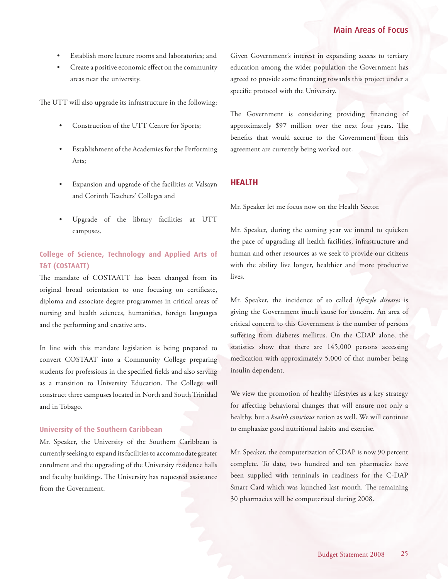- <span id="page-24-0"></span>Establish more lecture rooms and laboratories; and
- Create a positive economic effect on the community areas near the university.

The UTT will also upgrade its infrastructure in the following:

- Construction of the UTT Centre for Sports;
- Establishment of the Academies for the Performing Arts;
- Expansion and upgrade of the facilities at Valsayn and Corinth Teachers' Colleges and
- Upgrade of the library facilities at UTT campuses.

## **College of Science, Technology and Applied Arts of T&T (COSTAATT)**

The mandate of COSTAATT has been changed from its original broad orientation to one focusing on certificate, diploma and associate degree programmes in critical areas of nursing and health sciences, humanities, foreign languages and the performing and creative arts.

In line with this mandate legislation is being prepared to convert COSTAAT into a Community College preparing students for professions in the specified fields and also serving as a transition to University Education. The College will construct three campuses located in North and South Trinidad and in Tobago.

#### **University of the Southern Caribbean**

Mr. Speaker, the University of the Southern Caribbean is currently seeking to expand its facilities to accommodate greater enrolment and the upgrading of the University residence halls and faculty buildings. The University has requested assistance from the Government.

Given Government's interest in expanding access to tertiary education among the wider population the Government has agreed to provide some financing towards this project under a specific protocol with the University.

The Government is considering providing financing of approximately \$97 million over the next four years. The benefits that would accrue to the Government from this agreement are currently being worked out.

## **HEALTH**

Mr. Speaker let me focus now on the Health Sector.

Mr. Speaker, during the coming year we intend to quicken the pace of upgrading all health facilities, infrastructure and human and other resources as we seek to provide our citizens with the ability live longer, healthier and more productive lives.

Mr. Speaker, the incidence of so called *lifestyle diseases* is giving the Government much cause for concern. An area of critical concern to this Government is the number of persons suffering from diabetes mellitus. On the CDAP alone, the statistics show that there are 145,000 persons accessing medication with approximately 5,000 of that number being insulin dependent.

We view the promotion of healthy lifestyles as a key strategy for affecting behavioral changes that will ensure not only a healthy, but a *health conscious* nation as well. We will continue to emphasize good nutritional habits and exercise.

Mr. Speaker, the computerization of CDAP is now 90 percent complete. To date, two hundred and ten pharmacies have been supplied with terminals in readiness for the C-DAP Smart Card which was launched last month. The remaining 30 pharmacies will be computerized during 2008.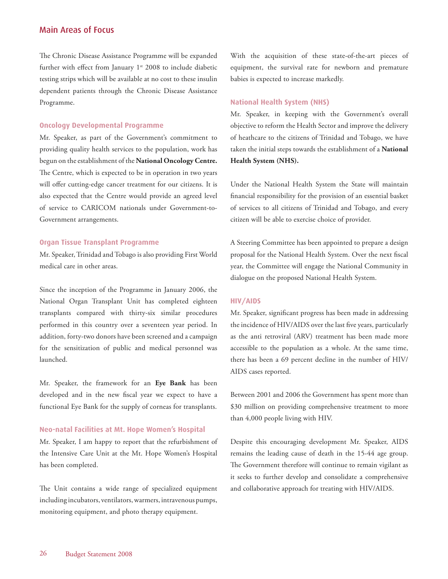The Chronic Disease Assistance Programme will be expanded further with effect from January  $1^{st}$  2008 to include diabetic testing strips which will be available at no cost to these insulin dependent patients through the Chronic Disease Assistance Programme.

#### **Oncology Developmental Programme**

Mr. Speaker, as part of the Government's commitment to providing quality health services to the population, work has begun on the establishment of the **National Oncology Centre.**  The Centre, which is expected to be in operation in two years will offer cutting-edge cancer treatment for our citizens. It is also expected that the Centre would provide an agreed level of service to CARICOM nationals under Government-to-Government arrangements.

#### **Organ Tissue Transplant Programme**

Mr. Speaker, Trinidad and Tobago is also providing First World medical care in other areas.

Since the inception of the Programme in January 2006, the National Organ Transplant Unit has completed eighteen transplants compared with thirty-six similar procedures performed in this country over a seventeen year period. In addition, forty-two donors have been screened and a campaign for the sensitization of public and medical personnel was launched.

Mr. Speaker, the framework for an **Eye Bank** has been developed and in the new fiscal year we expect to have a functional Eye Bank for the supply of corneas for transplants.

#### **Neo-natal Facilities at Mt. Hope Women's Hospital**

Mr. Speaker, I am happy to report that the refurbishment of the Intensive Care Unit at the Mt. Hope Women's Hospital has been completed.

The Unit contains a wide range of specialized equipment including incubators, ventilators, warmers, intravenous pumps, monitoring equipment, and photo therapy equipment.

With the acquisition of these state-of-the-art pieces of equipment, the survival rate for newborn and premature babies is expected to increase markedly.

#### **National Health System (NHS)**

Mr. Speaker, in keeping with the Government's overall objective to reform the Health Sector and improve the delivery of heathcare to the citizens of Trinidad and Tobago, we have taken the initial steps towards the establishment of a **National Health System (NHS).**

Under the National Health System the State will maintain financial responsibility for the provision of an essential basket of services to all citizens of Trinidad and Tobago, and every citizen will be able to exercise choice of provider.

A Steering Committee has been appointed to prepare a design proposal for the National Health System. Over the next fiscal year, the Committee will engage the National Community in dialogue on the proposed National Health System.

#### **HIV/AIDS**

Mr. Speaker, significant progress has been made in addressing the incidence of HIV/AIDS over the last five years, particularly as the anti retroviral (ARV) treatment has been made more accessible to the population as a whole. At the same time, there has been a 69 percent decline in the number of HIV/ AIDS cases reported.

Between 2001 and 2006 the Government has spent more than \$30 million on providing comprehensive treatment to more than 4,000 people living with HIV.

Despite this encouraging development Mr. Speaker, AIDS remains the leading cause of death in the 15-44 age group. The Government therefore will continue to remain vigilant as it seeks to further develop and consolidate a comprehensive and collaborative approach for treating with HIV/AIDS.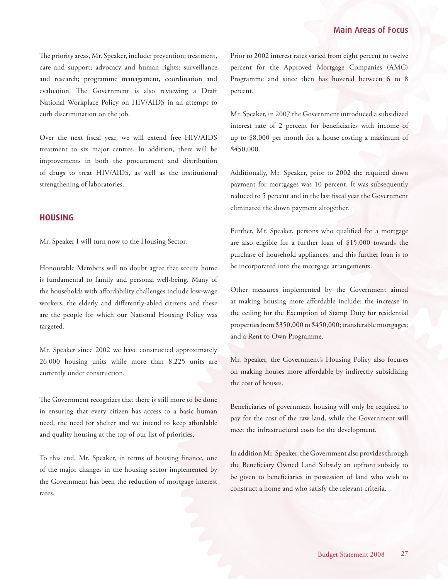<span id="page-26-0"></span>The priority areas, Mr. Speaker, include: prevention; treatment, care and support; advocacy and human rights; surveillance and research; programme management, coordination and evaluation. The Government is also reviewing a Draft National Workplace Policy on HIV/AIDS in an attempt to curb discrimination on the job.

Over the next fiscal year, we will extend free HIV/AIDS treatment to six major centres. In addition, there will be improvements in both the procurement and distribution of drugs to treat HIV/AIDS, as well as the institutional strengthening of laboratories.

### **HOUSING**

Mr. Speaker I will turn now to the Housing Sector.

Honourable Members will no doubt agree that secure home is fundamental to family and personal well-being. Many of the households with affordability challenges include low-wage workers, the elderly and differently-abled citizens and these are the people for which our National Housing Policy was targeted.

Mr. Speaker since 2002 we have constructed approximately 26,000 housing units while more than 8,225 units are currently under construction.

The Government recognizes that there is still more to be done in ensuring that every citizen has access to a basic human need, the need for shelter and we intend to keep affordable and quality housing at the top of our list of priorities.

To this end, Mr. Speaker, in terms of housing finance, one of the major changes in the housing sector implemented by the Government has been the reduction of mortgage interest rates.

Prior to 2002 interest rates varied from eight percent to twelve percent for the Approved Mortgage Companies (AMC) Programme and since then has hovered between 6 to 8 percent.

Mr. Speaker, in 2007 the Government introduced a subsidized interest rate of 2 percent for beneficiaries with income of up to \$8,000 per month for a house costing a maximum of \$450,000.

Additionally, Mr. Speaker, prior to 2002 the required down payment for mortgages was 10 percent. It was subsequently reduced to 5 percent and in the last fiscal year the Government eliminated the down payment altogether.

Further, Mr. Speaker, persons who qualified for a mortgage are also eligible for a further loan of \$15,000 towards the purchase of household appliances, and this further loan is to be incorporated into the mortgage arrangements.

Other measures implemented by the Government aimed at making housing more affordable include: the increase in the ceiling for the Exemption of Stamp Duty for residential properties from \$350,000 to \$450,000; transferable mortgages; and a Rent to Own Programme.

Mr. Speaker, the Government's Housing Policy also focuses on making houses more affordable by indirectly subsidizing the cost of houses.

Beneficiaries of government housing will only be required to pay for the cost of the raw land, while the Government will meet the infrastructural costs for the development.

In addition Mr. Speaker, the Government also provides through the Beneficiary Owned Land Subsidy an upfront subsidy to be given to beneficiaries in possession of land who wish to construct a home and who satisfy the relevant criteria.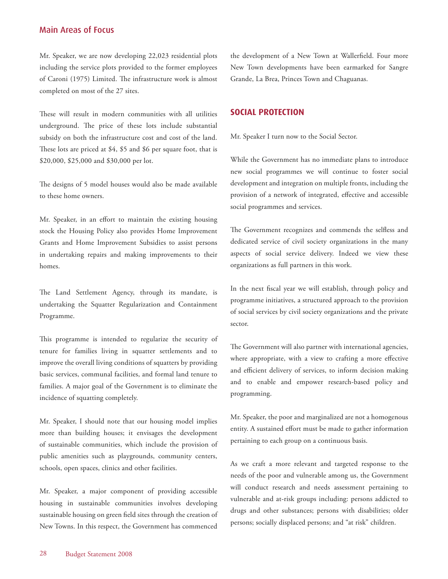<span id="page-27-0"></span>Mr. Speaker, we are now developing 22,023 residential plots including the service plots provided to the former employees of Caroni (1975) Limited. The infrastructure work is almost completed on most of the 27 sites.

These will result in modern communities with all utilities underground. The price of these lots include substantial subsidy on both the infrastructure cost and cost of the land. These lots are priced at \$4, \$5 and \$6 per square foot, that is \$20,000, \$25,000 and \$30,000 per lot.

The designs of 5 model houses would also be made available to these home owners.

Mr. Speaker, in an effort to maintain the existing housing stock the Housing Policy also provides Home Improvement Grants and Home Improvement Subsidies to assist persons in undertaking repairs and making improvements to their homes.

The Land Settlement Agency, through its mandate, is undertaking the Squatter Regularization and Containment Programme.

This programme is intended to regularize the security of tenure for families living in squatter settlements and to improve the overall living conditions of squatters by providing basic services, communal facilities, and formal land tenure to families. A major goal of the Government is to eliminate the incidence of squatting completely.

Mr. Speaker, I should note that our housing model implies more than building houses; it envisages the development of sustainable communities, which include the provision of public amenities such as playgrounds, community centers, schools, open spaces, clinics and other facilities.

Mr. Speaker, a major component of providing accessible housing in sustainable communities involves developing sustainable housing on green field sites through the creation of New Towns. In this respect, the Government has commenced

the development of a New Town at Wallerfield. Four more New Town developments have been earmarked for Sangre Grande, La Brea, Princes Town and Chaguanas.

## **SOCIAL PROTECTION**

Mr. Speaker I turn now to the Social Sector.

While the Government has no immediate plans to introduce new social programmes we will continue to foster social development and integration on multiple fronts, including the provision of a network of integrated, effective and accessible social programmes and services.

The Government recognizes and commends the selfless and dedicated service of civil society organizations in the many aspects of social service delivery. Indeed we view these organizations as full partners in this work.

In the next fiscal year we will establish, through policy and programme initiatives, a structured approach to the provision of social services by civil society organizations and the private sector.

The Government will also partner with international agencies, where appropriate, with a view to crafting a more effective and efficient delivery of services, to inform decision making and to enable and empower research-based policy and programming.

Mr. Speaker, the poor and marginalized are not a homogenous entity. A sustained effort must be made to gather information pertaining to each group on a continuous basis.

As we craft a more relevant and targeted response to the needs of the poor and vulnerable among us, the Government will conduct research and needs assessment pertaining to vulnerable and at-risk groups including: persons addicted to drugs and other substances; persons with disabilities; older persons; socially displaced persons; and "at risk" children.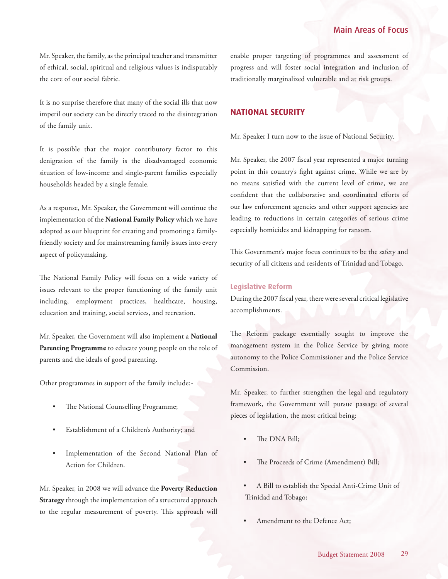<span id="page-28-0"></span>Mr. Speaker, the family, as the principal teacher and transmitter of ethical, social, spiritual and religious values is indisputably the core of our social fabric.

It is no surprise therefore that many of the social ills that now imperil our society can be directly traced to the disintegration of the family unit.

It is possible that the major contributory factor to this denigration of the family is the disadvantaged economic situation of low-income and single-parent families especially households headed by a single female.

As a response, Mr. Speaker, the Government will continue the implementation of the **National Family Policy** which we have adopted as our blueprint for creating and promoting a familyfriendly society and for mainstreaming family issues into every aspect of policymaking.

The National Family Policy will focus on a wide variety of issues relevant to the proper functioning of the family unit including, employment practices, healthcare, housing, education and training, social services, and recreation.

Mr. Speaker, the Government will also implement a **National Parenting Programme** to educate young people on the role of parents and the ideals of good parenting.

Other programmes in support of the family include:-

- The National Counselling Programme;
- Establishment of a Children's Authority; and
- Implementation of the Second National Plan of Action for Children.

Mr. Speaker, in 2008 we will advance the **Poverty Reduction Strategy** through the implementation of a structured approach to the regular measurement of poverty. This approach will enable proper targeting of programmes and assessment of progress and will foster social integration and inclusion of traditionally marginalized vulnerable and at risk groups.

## **NATIONAL SECURITY**

Mr. Speaker I turn now to the issue of National Security.

Mr. Speaker, the 2007 fiscal year represented a major turning point in this country's fight against crime. While we are by no means satisfied with the current level of crime, we are confident that the collaborative and coordinated efforts of our law enforcement agencies and other support agencies are leading to reductions in certain categories of serious crime especially homicides and kidnapping for ransom.

This Government's major focus continues to be the safety and security of all citizens and residents of Trinidad and Tobago.

#### **Legislative Reform**

During the 2007 fiscal year, there were several critical legislative accomplishments.

The Reform package essentially sought to improve the management system in the Police Service by giving more autonomy to the Police Commissioner and the Police Service Commission.

Mr. Speaker, to further strengthen the legal and regulatory framework, the Government will pursue passage of several pieces of legislation, the most critical being:

- The DNA Bill;
- The Proceeds of Crime (Amendment) Bill;
- A Bill to establish the Special Anti-Crime Unit of Trinidad and Tobago;
- Amendment to the Defence Act;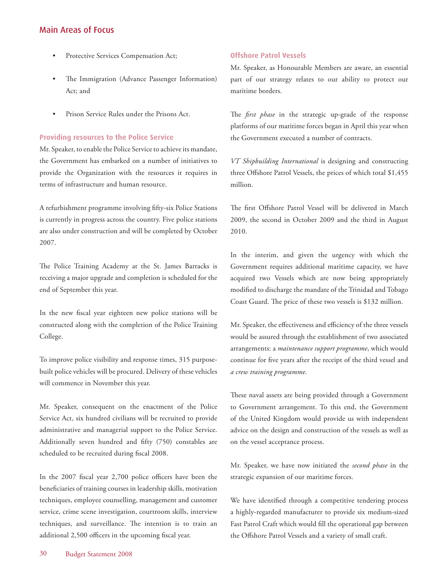- Protective Services Compensation Act;
- The Immigration (Advance Passenger Information) Act; and
- Prison Service Rules under the Prisons Act.

#### **Providing resources to the Police Service**

Mr. Speaker, to enable the Police Service to achieve its mandate, the Government has embarked on a number of initiatives to provide the Organization with the resources it requires in terms of infrastructure and human resource.

A refurbishment programme involving fifty-six Police Stations is currently in progress across the country. Five police stations are also under construction and will be completed by October 2007.

The Police Training Academy at the St. James Barracks is receiving a major upgrade and completion is scheduled for the end of September this year.

In the new fiscal year eighteen new police stations will be constructed along with the completion of the Police Training College.

To improve police visibility and response times, 315 purposebuilt police vehicles will be procured. Delivery of these vehicles will commence in November this year.

Mr. Speaker, consequent on the enactment of the Police Service Act, six hundred civilians will be recruited to provide administrative and managerial support to the Police Service. Additionally seven hundred and fifty (750) constables are scheduled to be recruited during fiscal 2008.

In the 2007 fiscal year 2,700 police officers have been the beneficiaries of training courses in leadership skills, motivation techniques, employee counselling, management and customer service, crime scene investigation, courtroom skills, interview techniques, and surveillance. The intention is to train an additional 2,500 officers in the upcoming fiscal year.

#### **Offshore Patrol Vessels**

Mr. Speaker, as Honourable Members are aware, an essential part of our strategy relates to our ability to protect our maritime borders.

The *first phase* in the strategic up-grade of the response platforms of our maritime forces began in April this year when the Government executed a number of contracts.

*VT Shipbuilding International* is designing and constructing three Offshore Patrol Vessels, the prices of which total \$1,455 million.

The first Offshore Patrol Vessel will be delivered in March 2009, the second in October 2009 and the third in August 2010.

In the interim, and given the urgency with which the Government requires additional maritime capacity, we have acquired two Vessels which are now being appropriately modified to discharge the mandate of the Trinidad and Tobago Coast Guard. The price of these two vessels is \$132 million.

Mr. Speaker, the effectiveness and efficiency of the three vessels would be assured through the establishment of two associated arrangements: a *maintenance support programme*, which would continue for five years after the receipt of the third vessel and *a crew training programme.*

These naval assets are being provided through a Government to Government arrangement. To this end, the Government of the United Kingdom would provide us with independent advice on the design and construction of the vessels as well as on the vessel acceptance process.

Mr. Speaker, we have now initiated the *second phase* in the strategic expansion of our maritime forces.

We have identified through a competitive tendering process a highly-regarded manufacturer to provide six medium-sized Fast Patrol Craft which would fill the operational gap between the Offshore Patrol Vessels and a variety of small craft.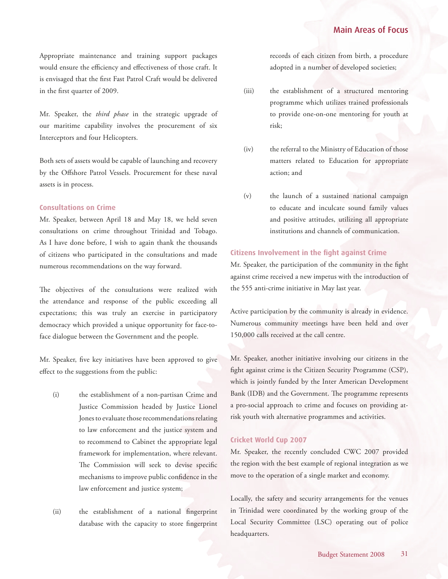Appropriate maintenance and training support packages would ensure the efficiency and effectiveness of those craft. It is envisaged that the first Fast Patrol Craft would be delivered in the first quarter of 2009.

Mr. Speaker, the *third phase* in the strategic upgrade of our maritime capability involves the procurement of six Interceptors and four Helicopters.

Both sets of assets would be capable of launching and recovery by the Offshore Patrol Vessels. Procurement for these naval assets is in process.

#### **Consultations on Crime**

Mr. Speaker, between April 18 and May 18, we held seven consultations on crime throughout Trinidad and Tobago. As I have done before, I wish to again thank the thousands of citizens who participated in the consultations and made numerous recommendations on the way forward.

The objectives of the consultations were realized with the attendance and response of the public exceeding all expectations; this was truly an exercise in participatory democracy which provided a unique opportunity for face-toface dialogue between the Government and the people.

Mr. Speaker, five key initiatives have been approved to give effect to the suggestions from the public:

- (i) the establishment of a non-partisan Crime and Justice Commission headed by Justice Lionel Jones to evaluate those recommendations relating to law enforcement and the justice system and to recommend to Cabinet the appropriate legal framework for implementation, where relevant. The Commission will seek to devise specific mechanisms to improve public confidence in the law enforcement and justice system;
- (ii) the establishment of a national fingerprint database with the capacity to store fingerprint

records of each citizen from birth, a procedure adopted in a number of developed societies;

- (iii) the establishment of a structured mentoring programme which utilizes trained professionals to provide one-on-one mentoring for youth at risk;
- (iv) the referral to the Ministry of Education of those matters related to Education for appropriate action; and
- (v) the launch of a sustained national campaign to educate and inculcate sound family values and positive attitudes, utilizing all appropriate institutions and channels of communication.

#### **Citizens Involvement in the fight against Crime**

Mr. Speaker, the participation of the community in the fight against crime received a new impetus with the introduction of the 555 anti-crime initiative in May last year.

Active participation by the community is already in evidence. Numerous community meetings have been held and over 150,000 calls received at the call centre.

Mr. Speaker, another initiative involving our citizens in the fight against crime is the Citizen Security Programme (CSP), which is jointly funded by the Inter American Development Bank (IDB) and the Government. The programme represents a pro-social approach to crime and focuses on providing atrisk youth with alternative programmes and activities.

#### **Cricket World Cup 2007**

Mr. Speaker, the recently concluded CWC 2007 provided the region with the best example of regional integration as we move to the operation of a single market and economy.

Locally, the safety and security arrangements for the venues in Trinidad were coordinated by the working group of the Local Security Committee (LSC) operating out of police headquarters.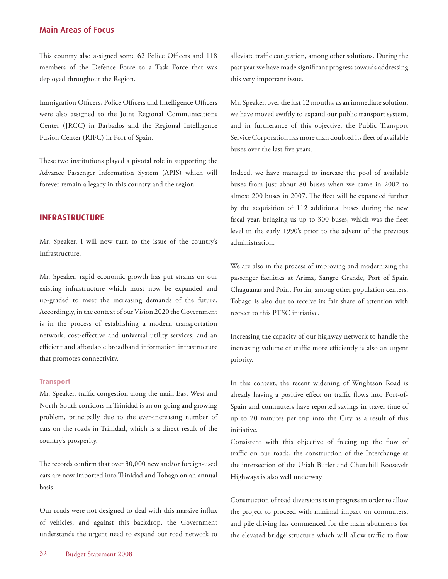<span id="page-31-0"></span>This country also assigned some 62 Police Officers and 118 members of the Defence Force to a Task Force that was deployed throughout the Region.

Immigration Officers, Police Officers and Intelligence Officers were also assigned to the Joint Regional Communications Center (JRCC) in Barbados and the Regional Intelligence Fusion Center (RIFC) in Port of Spain.

These two institutions played a pivotal role in supporting the Advance Passenger Information System (APIS) which will forever remain a legacy in this country and the region.

## **INFRASTRUCTURE**

Mr. Speaker, I will now turn to the issue of the country's Infrastructure.

Mr. Speaker, rapid economic growth has put strains on our existing infrastructure which must now be expanded and up-graded to meet the increasing demands of the future. Accordingly, in the context of our Vision 2020 the Government is in the process of establishing a modern transportation network; cost-effective and universal utility services; and an efficient and affordable broadband information infrastructure that promotes connectivity.

#### **Transport**

Mr. Speaker, traffic congestion along the main East-West and North-South corridors in Trinidad is an on-going and growing problem, principally due to the ever-increasing number of cars on the roads in Trinidad, which is a direct result of the country's prosperity.

The records confirm that over 30,000 new and/or foreign-used cars are now imported into Trinidad and Tobago on an annual basis.

Our roads were not designed to deal with this massive influx of vehicles, and against this backdrop, the Government understands the urgent need to expand our road network to alleviate traffic congestion, among other solutions. During the past year we have made significant progress towards addressing this very important issue.

Mr. Speaker, over the last 12 months, as an immediate solution, we have moved swiftly to expand our public transport system, and in furtherance of this objective, the Public Transport Service Corporation has more than doubled its fleet of available buses over the last five years.

Indeed, we have managed to increase the pool of available buses from just about 80 buses when we came in 2002 to almost 200 buses in 2007. The fleet will be expanded further by the acquisition of 112 additional buses during the new fiscal year, bringing us up to 300 buses, which was the fleet level in the early 1990's prior to the advent of the previous administration.

We are also in the process of improving and modernizing the passenger facilities at Arima, Sangre Grande, Port of Spain Chaguanas and Point Fortin, among other population centers. Tobago is also due to receive its fair share of attention with respect to this PTSC initiative.

Increasing the capacity of our highway network to handle the increasing volume of traffic more efficiently is also an urgent priority.

In this context, the recent widening of Wrightson Road is already having a positive effect on traffic flows into Port-of-Spain and commuters have reported savings in travel time of up to 20 minutes per trip into the City as a result of this initiative.

Consistent with this objective of freeing up the flow of traffic on our roads, the construction of the Interchange at the intersection of the Uriah Butler and Churchill Roosevelt Highways is also well underway.

Construction of road diversions is in progress in order to allow the project to proceed with minimal impact on commuters, and pile driving has commenced for the main abutments for the elevated bridge structure which will allow traffic to flow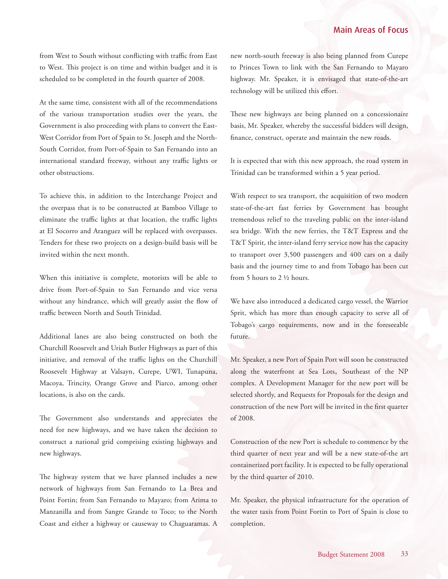from West to South without conflicting with traffic from East to West. This project is on time and within budget and it is scheduled to be completed in the fourth quarter of 2008.

At the same time, consistent with all of the recommendations of the various transportation studies over the years, the Government is also proceeding with plans to convert the East-West Corridor from Port of Spain to St. Joseph and the North-South Corridor, from Port-of-Spain to San Fernando into an international standard freeway, without any traffic lights or other obstructions.

To achieve this, in addition to the Interchange Project and the overpass that is to be constructed at Bamboo Village to eliminate the traffic lights at that location, the traffic lights at El Socorro and Aranguez will be replaced with overpasses. Tenders for these two projects on a design-build basis will be invited within the next month.

When this initiative is complete, motorists will be able to drive from Port-of-Spain to San Fernando and vice versa without any hindrance, which will greatly assist the flow of traffic between North and South Trinidad.

Additional lanes are also being constructed on both the Churchill Roosevelt and Uriah Butler Highways as part of this initiative, and removal of the traffic lights on the Churchill Roosevelt Highway at Valsayn, Curepe, UWI, Tunapuna, Macoya, Trincity, Orange Grove and Piarco, among other locations, is also on the cards.

The Government also understands and appreciates the need for new highways, and we have taken the decision to construct a national grid comprising existing highways and new highways.

The highway system that we have planned includes a new network of highways from San Fernando to La Brea and Point Fortin; from San Fernando to Mayaro; from Arima to Manzanilla and from Sangre Grande to Toco; to the North Coast and either a highway or causeway to Chaguaramas. A

new north-south freeway is also being planned from Curepe to Princes Town to link with the San Fernando to Mayaro highway. Mr. Speaker, it is envisaged that state-of-the-art technology will be utilized this effort.

These new highways are being planned on a concessionaire basis, Mr. Speaker, whereby the successful bidders will design, finance, construct, operate and maintain the new roads.

It is expected that with this new approach, the road system in Trinidad can be transformed within a 5 year period.

With respect to sea transport, the acquisition of two modern state-of-the-art fast ferries by Government has brought tremendous relief to the traveling public on the inter-island sea bridge. With the new ferries, the T&T Express and the T&T Spirit, the inter-island ferry service now has the capacity to transport over 3,500 passengers and 400 cars on a daily basis and the journey time to and from Tobago has been cut from 5 hours to 2 ½ hours.

We have also introduced a dedicated cargo vessel, the Warrior Sprit, which has more than enough capacity to serve all of Tobago's cargo requirements, now and in the foreseeable future.

Mr. Speaker, a new Port of Spain Port will soon be constructed along the waterfront at Sea Lots, Southeast of the NP complex. A Development Manager for the new port will be selected shortly, and Requests for Proposals for the design and construction of the new Port will be invited in the first quarter of 2008.

Construction of the new Port is schedule to commence by the third quarter of next year and will be a new state-of-the art containerized port facility. It is expected to be fully operational by the third quarter of 2010.

Mr. Speaker, the physical infrastructure for the operation of the water taxis from Point Fortin to Port of Spain is close to completion.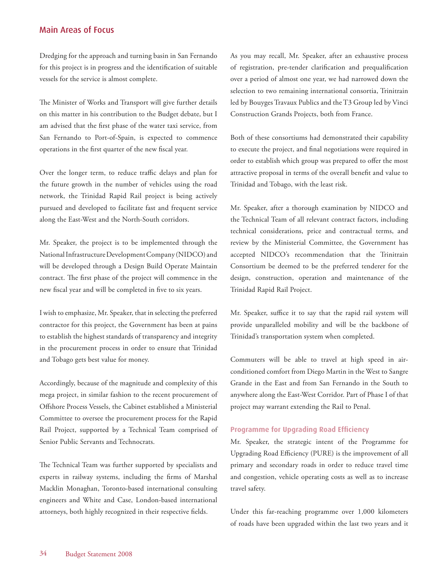Dredging for the approach and turning basin in San Fernando for this project is in progress and the identification of suitable vessels for the service is almost complete.

The Minister of Works and Transport will give further details on this matter in his contribution to the Budget debate, but I am advised that the first phase of the water taxi service, from San Fernando to Port-of-Spain, is expected to commence operations in the first quarter of the new fiscal year.

Over the longer term, to reduce traffic delays and plan for the future growth in the number of vehicles using the road network, the Trinidad Rapid Rail project is being actively pursued and developed to facilitate fast and frequent service along the East-West and the North-South corridors.

Mr. Speaker, the project is to be implemented through the National Infrastructure Development Company (NIDCO) and will be developed through a Design Build Operate Maintain contract. The first phase of the project will commence in the new fiscal year and will be completed in five to six years.

I wish to emphasize, Mr. Speaker, that in selecting the preferred contractor for this project, the Government has been at pains to establish the highest standards of transparency and integrity in the procurement process in order to ensure that Trinidad and Tobago gets best value for money.

Accordingly, because of the magnitude and complexity of this mega project, in similar fashion to the recent procurement of Offshore Process Vessels, the Cabinet established a Ministerial Committee to oversee the procurement process for the Rapid Rail Project, supported by a Technical Team comprised of Senior Public Servants and Technocrats.

The Technical Team was further supported by specialists and experts in railway systems, including the firms of Marshal Macklin Monaghan, Toronto-based international consulting engineers and White and Case, London-based international attorneys, both highly recognized in their respective fields.

As you may recall, Mr. Speaker, after an exhaustive process of registration, pre-tender clarification and prequalification over a period of almost one year, we had narrowed down the selection to two remaining international consortia, Trinitrain led by Bouyges Travaux Publics and the T3 Group led by Vinci Construction Grands Projects, both from France.

Both of these consortiums had demonstrated their capability to execute the project, and final negotiations were required in order to establish which group was prepared to offer the most attractive proposal in terms of the overall benefit and value to Trinidad and Tobago, with the least risk.

Mr. Speaker, after a thorough examination by NIDCO and the Technical Team of all relevant contract factors, including technical considerations, price and contractual terms, and review by the Ministerial Committee, the Government has accepted NIDCO's recommendation that the Trinitrain Consortium be deemed to be the preferred tenderer for the design, construction, operation and maintenance of the Trinidad Rapid Rail Project.

Mr. Speaker, suffice it to say that the rapid rail system will provide unparalleled mobility and will be the backbone of Trinidad's transportation system when completed.

Commuters will be able to travel at high speed in airconditioned comfort from Diego Martin in the West to Sangre Grande in the East and from San Fernando in the South to anywhere along the East-West Corridor. Part of Phase I of that project may warrant extending the Rail to Penal.

#### **Programme for Upgrading Road Efficiency**

Mr. Speaker, the strategic intent of the Programme for Upgrading Road Efficiency (PURE) is the improvement of all primary and secondary roads in order to reduce travel time and congestion, vehicle operating costs as well as to increase travel safety.

Under this far-reaching programme over 1,000 kilometers of roads have been upgraded within the last two years and it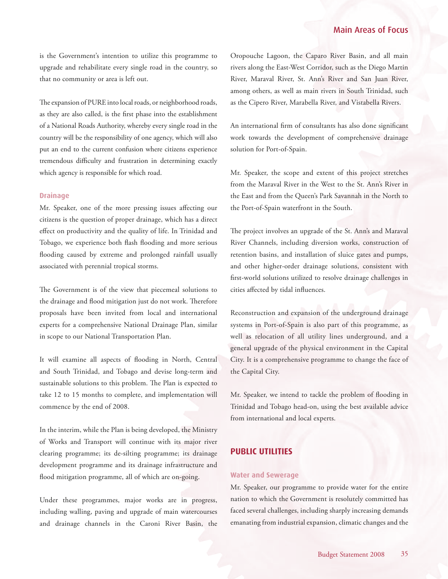<span id="page-34-0"></span>is the Government's intention to utilize this programme to upgrade and rehabilitate every single road in the country, so that no community or area is left out.

The expansion of PURE into local roads, or neighborhood roads, as they are also called, is the first phase into the establishment of a National Roads Authority, whereby every single road in the country will be the responsibility of one agency, which will also put an end to the current confusion where citizens experience tremendous difficulty and frustration in determining exactly which agency is responsible for which road.

#### **Drainage**

Mr. Speaker, one of the more pressing issues affecting our citizens is the question of proper drainage, which has a direct effect on productivity and the quality of life. In Trinidad and Tobago, we experience both flash flooding and more serious flooding caused by extreme and prolonged rainfall usually associated with perennial tropical storms.

The Government is of the view that piecemeal solutions to the drainage and flood mitigation just do not work. Therefore proposals have been invited from local and international experts for a comprehensive National Drainage Plan, similar in scope to our National Transportation Plan.

It will examine all aspects of flooding in North, Central and South Trinidad, and Tobago and devise long-term and sustainable solutions to this problem. The Plan is expected to take 12 to 15 months to complete, and implementation will commence by the end of 2008.

In the interim, while the Plan is being developed, the Ministry of Works and Transport will continue with its major river clearing programme; its de-silting programme; its drainage development programme and its drainage infrastructure and flood mitigation programme, all of which are on-going.

Under these programmes, major works are in progress, including walling, paving and upgrade of main watercourses and drainage channels in the Caroni River Basin, the Oropouche Lagoon, the Caparo River Basin, and all main rivers along the East-West Corridor, such as the Diego Martin River, Maraval River, St. Ann's River and San Juan River, among others, as well as main rivers in South Trinidad, such as the Cipero River, Marabella River, and Vistabella Rivers.

An international firm of consultants has also done significant work towards the development of comprehensive drainage solution for Port-of-Spain.

Mr. Speaker, the scope and extent of this project stretches from the Maraval River in the West to the St. Ann's River in the East and from the Queen's Park Savannah in the North to the Port-of-Spain waterfront in the South.

The project involves an upgrade of the St. Ann's and Maraval River Channels, including diversion works, construction of retention basins, and installation of sluice gates and pumps, and other higher-order drainage solutions, consistent with first-world solutions utilized to resolve drainage challenges in cities affected by tidal influences.

Reconstruction and expansion of the underground drainage systems in Port-of-Spain is also part of this programme, as well as relocation of all utility lines underground, and a general upgrade of the physical environment in the Capital City. It is a comprehensive programme to change the face of the Capital City.

Mr. Speaker, we intend to tackle the problem of flooding in Trinidad and Tobago head-on, using the best available advice from international and local experts.

## **PUBLIC UTILITIES**

#### **Water and Sewerage**

Mr. Speaker, our programme to provide water for the entire nation to which the Government is resolutely committed has faced several challenges, including sharply increasing demands emanating from industrial expansion, climatic changes and the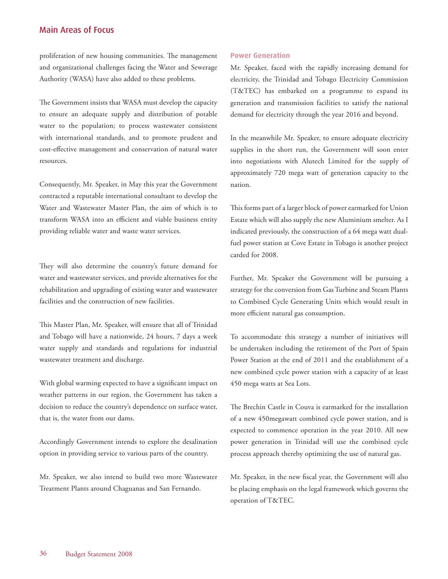proliferation of new housing communities. The management and organizational challenges facing the Water and Sewerage Authority (WASA) have also added to these problems.

The Government insists that WASA must develop the capacity to ensure an adequate supply and distribution of potable water to the population; to process wastewater consistent with international standards, and to promote prudent and cost-effective management and conservation of natural water resources.

Consequently, Mr. Speaker, in May this year the Government contracted a reputable international consultant to develop the Water and Wastewater Master Plan, the aim of which is to transform WASA into an efficient and viable business entity providing reliable water and waste water services.

They will also determine the country's future demand for water and wastewater services, and provide alternatives for the rehabilitation and upgrading of existing water and wastewater facilities and the construction of new facilities.

This Master Plan, Mr. Speaker, will ensure that all of Trinidad and Tobago will have a nationwide, 24 hours, 7 days a week water supply and standards and regulations for industrial wastewater treatment and discharge.

With global warming expected to have a significant impact on weather patterns in our region, the Government has taken a decision to reduce the country's dependence on surface water, that is, the water from our dams.

Accordingly Government intends to explore the desalination option in providing service to various parts of the country.

Mr. Speaker, we also intend to build two more Wastewater Treatment Plants around Chaguanas and San Fernando.

#### **Power Generation**

Mr. Speaker, faced with the rapidly increasing demand for electricity, the Trinidad and Tobago Electricity Commission (T&TEC) has embarked on a programme to expand its generation and transmission facilities to satisfy the national demand for electricity through the year 2016 and beyond.

In the meanwhile Mr. Speaker, to ensure adequate electricity supplies in the short run, the Government will soon enter into negotiations with Alutech Limited for the supply of approximately 720 mega watt of generation capacity to the nation.

This forms part of a larger block of power earmarked for Union Estate which will also supply the new Aluminium smelter. As I indicated previously, the construction of a 64 mega watt dualfuel power station at Cove Estate in Tobago is another project carded for 2008.

Further, Mr. Speaker the Government will be pursuing a strategy for the conversion from Gas Turbine and Steam Plants to Combined Cycle Generating Units which would result in more efficient natural gas consumption.

To accommodate this strategy a number of initiatives will be undertaken including the retirement of the Port of Spain Power Station at the end of 2011 and the establishment of a new combined cycle power station with a capacity of at least 450 mega watts at Sea Lots.

The Brechin Castle in Couva is earmarked for the installation of a new 450megawatt combined cycle power station, and is expected to commence operation in the year 2010. All new power generation in Trinidad will use the combined cycle process approach thereby optimizing the use of natural gas.

Mr. Speaker, in the new fiscal year, the Government will also be placing emphasis on the legal framework which governs the operation of T&TEC.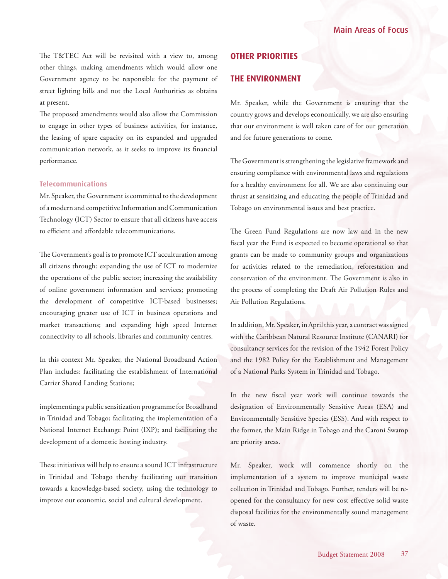<span id="page-36-0"></span>The T&TEC Act will be revisited with a view to, among other things, making amendments which would allow one Government agency to be responsible for the payment of street lighting bills and not the Local Authorities as obtains at present.

The proposed amendments would also allow the Commission to engage in other types of business activities, for instance, the leasing of spare capacity on its expanded and upgraded communication network, as it seeks to improve its financial performance.

#### **Telecommunications**

Mr. Speaker, the Government is committed to the development of a modern and competitive Information and Communication Technology (ICT) Sector to ensure that all citizens have access to efficient and affordable telecommunications.

The Government's goal is to promote ICT acculturation among all citizens through: expanding the use of ICT to modernize the operations of the public sector; increasing the availability of online government information and services; promoting the development of competitive ICT-based businesses; encouraging greater use of ICT in business operations and market transactions; and expanding high speed Internet connectivity to all schools, libraries and community centres.

In this context Mr. Speaker, the National Broadband Action Plan includes: facilitating the establishment of International Carrier Shared Landing Stations;

implementing a public sensitization programme for Broadband in Trinidad and Tobago; facilitating the implementation of a National Internet Exchange Point (IXP); and facilitating the development of a domestic hosting industry.

These initiatives will help to ensure a sound ICT infrastructure in Trinidad and Tobago thereby facilitating our transition towards a knowledge-based society, using the technology to improve our economic, social and cultural development.

## **OTHER PRIORITIES**

## **THE ENVIRONMENT**

Mr. Speaker, while the Government is ensuring that the country grows and develops economically, we are also ensuring that our environment is well taken care of for our generation and for future generations to come.

The Government is strengthening the legislative framework and ensuring compliance with environmental laws and regulations for a healthy environment for all. We are also continuing our thrust at sensitizing and educating the people of Trinidad and Tobago on environmental issues and best practice.

The Green Fund Regulations are now law and in the new fiscal year the Fund is expected to become operational so that grants can be made to community groups and organizations for activities related to the remediation, reforestation and conservation of the environment. The Government is also in the process of completing the Draft Air Pollution Rules and Air Pollution Regulations.

In addition, Mr. Speaker, in April this year, a contract was signed with the Caribbean Natural Resource Institute (CANARI) for consultancy services for the revision of the 1942 Forest Policy and the 1982 Policy for the Establishment and Management of a National Parks System in Trinidad and Tobago.

In the new fiscal year work will continue towards the designation of Environmentally Sensitive Areas (ESA) and Environmentally Sensitive Species (ESS). And with respect to the former, the Main Ridge in Tobago and the Caroni Swamp are priority areas.

Mr. Speaker, work will commence shortly on the implementation of a system to improve municipal waste collection in Trinidad and Tobago. Further, tenders will be reopened for the consultancy for new cost effective solid waste disposal facilities for the environmentally sound management of waste.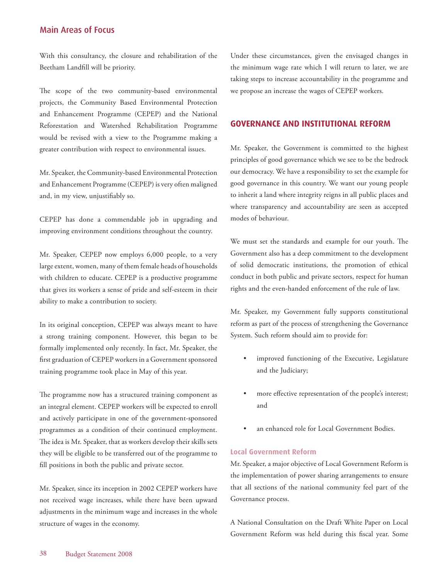<span id="page-37-0"></span>With this consultancy, the closure and rehabilitation of the Beetham Landfill will be priority.

The scope of the two community-based environmental projects, the Community Based Environmental Protection and Enhancement Programme (CEPEP) and the National Reforestation and Watershed Rehabilitation Programme would be revised with a view to the Programme making a greater contribution with respect to environmental issues.

Mr. Speaker, the Community-based Environmental Protection and Enhancement Programme (CEPEP) is very often maligned and, in my view, unjustifiably so.

CEPEP has done a commendable job in upgrading and improving environment conditions throughout the country.

Mr. Speaker, CEPEP now employs 6,000 people, to a very large extent, women, many of them female heads of households with children to educate. CEPEP is a productive programme that gives its workers a sense of pride and self-esteem in their ability to make a contribution to society.

In its original conception, CEPEP was always meant to have a strong training component. However, this began to be formally implemented only recently. In fact, Mr. Speaker, the first graduation of CEPEP workers in a Government sponsored training programme took place in May of this year.

The programme now has a structured training component as an integral element. CEPEP workers will be expected to enroll and actively participate in one of the government-sponsored programmes as a condition of their continued employment. The idea is Mr. Speaker, that as workers develop their skills sets they will be eligible to be transferred out of the programme to fill positions in both the public and private sector.

Mr. Speaker, since its inception in 2002 CEPEP workers have not received wage increases, while there have been upward adjustments in the minimum wage and increases in the whole structure of wages in the economy.

Under these circumstances, given the envisaged changes in the minimum wage rate which I will return to later, we are taking steps to increase accountability in the programme and we propose an increase the wages of CEPEP workers.

## **GOVERNANCE AND INSTITUTIONAL REFORM**

Mr. Speaker, the Government is committed to the highest principles of good governance which we see to be the bedrock our democracy. We have a responsibility to set the example for good governance in this country. We want our young people to inherit a land where integrity reigns in all public places and where transparency and accountability are seen as accepted modes of behaviour.

We must set the standards and example for our youth. The Government also has a deep commitment to the development of solid democratic institutions, the promotion of ethical conduct in both public and private sectors, respect for human rights and the even-handed enforcement of the rule of law.

Mr. Speaker, my Government fully supports constitutional reform as part of the process of strengthening the Governance System. Such reform should aim to provide for:

- improved functioning of the Executive, Legislature and the Judiciary;
- more effective representation of the people's interest; and
- an enhanced role for Local Government Bodies.

#### **Local Government Reform**

Mr. Speaker, a major objective of Local Government Reform is the implementation of power sharing arrangements to ensure that all sections of the national community feel part of the Governance process.

A National Consultation on the Draft White Paper on Local Government Reform was held during this fiscal year. Some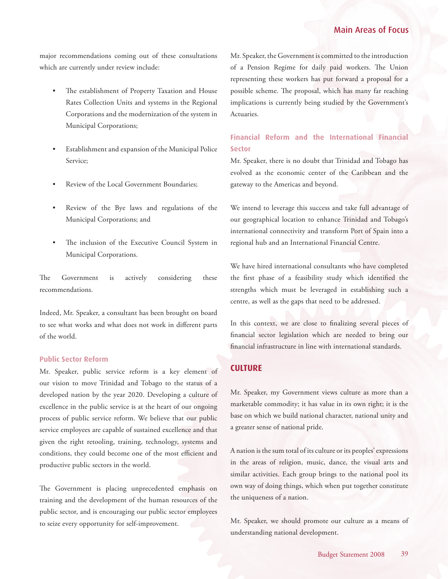<span id="page-38-0"></span>major recommendations coming out of these consultations which are currently under review include:

- The establishment of Property Taxation and House Rates Collection Units and systems in the Regional Corporations and the modernization of the system in Municipal Corporations;
- Establishment and expansion of the Municipal Police Service;
- Review of the Local Government Boundaries;
- Review of the Bye laws and regulations of the Municipal Corporations; and
- The inclusion of the Executive Council System in Municipal Corporations.

The Government is actively considering these recommendations.

Indeed, Mr. Speaker, a consultant has been brought on board to see what works and what does not work in different parts of the world.

#### **Public Sector Reform**

Mr. Speaker, public service reform is a key element of our vision to move Trinidad and Tobago to the status of a developed nation by the year 2020. Developing a culture of excellence in the public service is at the heart of our ongoing process of public service reform. We believe that our public service employees are capable of sustained excellence and that given the right retooling, training, technology, systems and conditions, they could become one of the most efficient and productive public sectors in the world.

The Government is placing unprecedented emphasis on training and the development of the human resources of the public sector, and is encouraging our public sector employees to seize every opportunity for self-improvement.

Mr. Speaker, the Government is committed to the introduction of a Pension Regime for daily paid workers. The Union representing these workers has put forward a proposal for a possible scheme. The proposal, which has many far reaching implications is currently being studied by the Government's Actuaries.

## **Financial Reform and the International Financial Sector**

Mr. Speaker, there is no doubt that Trinidad and Tobago has evolved as the economic center of the Caribbean and the gateway to the Americas and beyond.

We intend to leverage this success and take full advantage of our geographical location to enhance Trinidad and Tobago's international connectivity and transform Port of Spain into a regional hub and an International Financial Centre.

We have hired international consultants who have completed the first phase of a feasibility study which identified the strengths which must be leveraged in establishing such a centre, as well as the gaps that need to be addressed.

In this context, we are close to finalizing several pieces of financial sector legislation which are needed to bring our financial infrastructure in line with international standards.

#### **CULTURE**

Mr. Speaker, my Government views culture as more than a marketable commodity; it has value in its own right; it is the base on which we build national character, national unity and a greater sense of national pride.

A nation is the sum total of its culture or its peoples' expressions in the areas of religion, music, dance, the visual arts and similar activities. Each group brings to the national pool its own way of doing things, which when put together constitute the uniqueness of a nation.

Mr. Speaker, we should promote our culture as a means of understanding national development.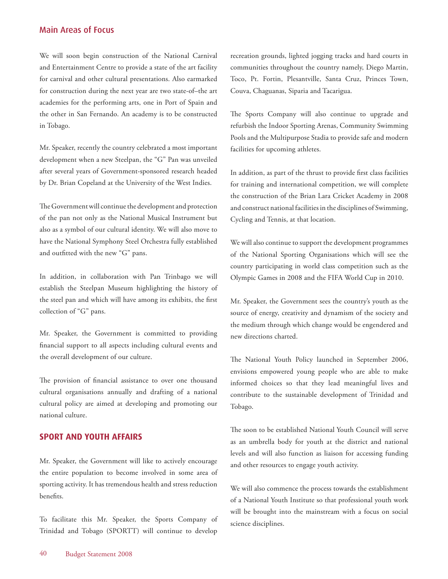<span id="page-39-0"></span>We will soon begin construction of the National Carnival and Entertainment Centre to provide a state of the art facility for carnival and other cultural presentations. Also earmarked for construction during the next year are two state-of–the art academies for the performing arts, one in Port of Spain and the other in San Fernando. An academy is to be constructed in Tobago.

Mr. Speaker, recently the country celebrated a most important development when a new Steelpan, the "G" Pan was unveiled after several years of Government-sponsored research headed by Dr. Brian Copeland at the University of the West Indies.

The Government will continue the development and protection of the pan not only as the National Musical Instrument but also as a symbol of our cultural identity. We will also move to have the National Symphony Steel Orchestra fully established and outfitted with the new "G" pans.

In addition, in collaboration with Pan Trinbago we will establish the Steelpan Museum highlighting the history of the steel pan and which will have among its exhibits, the first collection of "G" pans.

Mr. Speaker, the Government is committed to providing financial support to all aspects including cultural events and the overall development of our culture.

The provision of financial assistance to over one thousand cultural organisations annually and drafting of a national cultural policy are aimed at developing and promoting our national culture.

## **SPORT AND YOUTH AFFAIRS**

Mr. Speaker, the Government will like to actively encourage the entire population to become involved in some area of sporting activity. It has tremendous health and stress reduction benefits.

To facilitate this Mr. Speaker, the Sports Company of Trinidad and Tobago (SPORTT) will continue to develop

recreation grounds, lighted jogging tracks and hard courts in communities throughout the country namely, Diego Martin, Toco, Pt. Fortin, Plesantville, Santa Cruz, Princes Town, Couva, Chaguanas, Siparia and Tacarigua.

The Sports Company will also continue to upgrade and refurbish the Indoor Sporting Arenas, Community Swimming Pools and the Multipurpose Stadia to provide safe and modern facilities for upcoming athletes.

In addition, as part of the thrust to provide first class facilities for training and international competition, we will complete the construction of the Brian Lara Cricket Academy in 2008 and construct national facilities in the disciplines of Swimming, Cycling and Tennis, at that location.

We will also continue to support the development programmes of the National Sporting Organisations which will see the country participating in world class competition such as the Olympic Games in 2008 and the FIFA World Cup in 2010.

Mr. Speaker, the Government sees the country's youth as the source of energy, creativity and dynamism of the society and the medium through which change would be engendered and new directions charted.

The National Youth Policy launched in September 2006, envisions empowered young people who are able to make informed choices so that they lead meaningful lives and contribute to the sustainable development of Trinidad and Tobago.

The soon to be established National Youth Council will serve as an umbrella body for youth at the district and national levels and will also function as liaison for accessing funding and other resources to engage youth activity.

We will also commence the process towards the establishment of a National Youth Institute so that professional youth work will be brought into the mainstream with a focus on social science disciplines.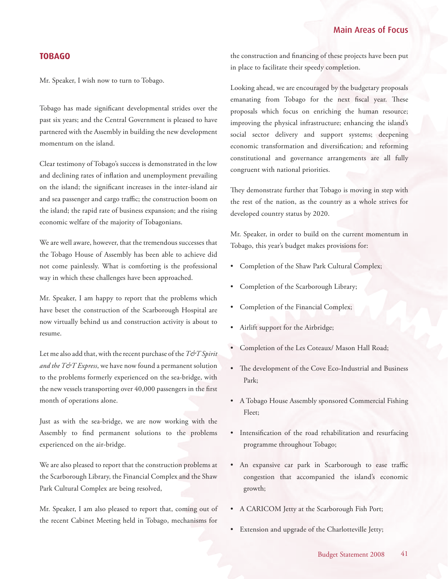## <span id="page-40-0"></span>**TOBAGO**

Mr. Speaker, I wish now to turn to Tobago.

Tobago has made significant developmental strides over the past six years; and the Central Government is pleased to have partnered with the Assembly in building the new development momentum on the island.

Clear testimony of Tobago's success is demonstrated in the low and declining rates of inflation and unemployment prevailing on the island; the significant increases in the inter-island air and sea passenger and cargo traffic; the construction boom on the island; the rapid rate of business expansion; and the rising economic welfare of the majority of Tobagonians.

We are well aware, however, that the tremendous successes that the Tobago House of Assembly has been able to achieve did not come painlessly. What is comforting is the professional way in which these challenges have been approached.

Mr. Speaker, I am happy to report that the problems which have beset the construction of the Scarborough Hospital are now virtually behind us and construction activity is about to resume.

Let me also add that, with the recent purchase of the *T&T Spirit and the T&T Express*, we have now found a permanent solution to the problems formerly experienced on the sea-bridge, with the new vessels transporting over 40,000 passengers in the first month of operations alone.

Just as with the sea-bridge, we are now working with the Assembly to find permanent solutions to the problems experienced on the air-bridge.

We are also pleased to report that the construction problems at the Scarborough Library, the Financial Complex and the Shaw Park Cultural Complex are being resolved,

Mr. Speaker, I am also pleased to report that, coming out of the recent Cabinet Meeting held in Tobago, mechanisms for

the construction and financing of these projects have been put in place to facilitate their speedy completion.

Looking ahead, we are encouraged by the budgetary proposals emanating from Tobago for the next fiscal year. These proposals which focus on enriching the human resource; improving the physical infrastructure; enhancing the island's social sector delivery and support systems; deepening economic transformation and diversification; and reforming constitutional and governance arrangements are all fully congruent with national priorities.

They demonstrate further that Tobago is moving in step with the rest of the nation, as the country as a whole strives for developed country status by 2020.

Mr. Speaker, in order to build on the current momentum in Tobago, this year's budget makes provisions for:

- Completion of the Shaw Park Cultural Complex;
- Completion of the Scarborough Library;
- Completion of the Financial Complex;
- Airlift support for the Airbridge;
- Completion of the Les Coteaux/ Mason Hall Road;
- The development of the Cove Eco-Industrial and Business Park;
- A Tobago House Assembly sponsored Commercial Fishing Fleet;
- Intensification of the road rehabilitation and resurfacing programme throughout Tobago;
- An expansive car park in Scarborough to ease traffic congestion that accompanied the island's economic growth;
- A CARICOM Jetty at the Scarborough Fish Port;
- Extension and upgrade of the Charlotteville Jetty;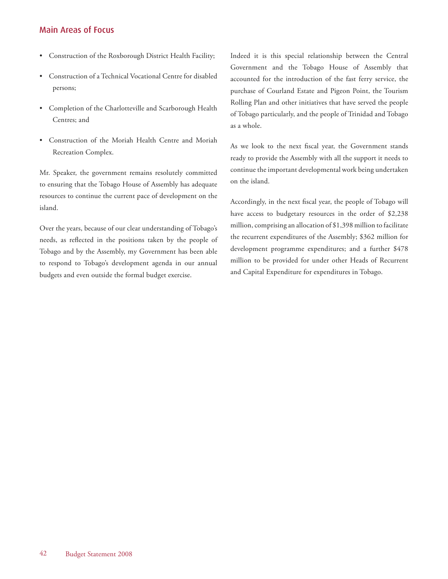- Construction of the Roxborough District Health Facility;
- Construction of a Technical Vocational Centre for disabled persons;
- Completion of the Charlotteville and Scarborough Health Centres; and
- Construction of the Moriah Health Centre and Moriah Recreation Complex.

Mr. Speaker, the government remains resolutely committed to ensuring that the Tobago House of Assembly has adequate resources to continue the current pace of development on the island.

Over the years, because of our clear understanding of Tobago's needs, as reflected in the positions taken by the people of Tobago and by the Assembly, my Government has been able to respond to Tobago's development agenda in our annual budgets and even outside the formal budget exercise.

Indeed it is this special relationship between the Central Government and the Tobago House of Assembly that accounted for the introduction of the fast ferry service, the purchase of Courland Estate and Pigeon Point, the Tourism Rolling Plan and other initiatives that have served the people of Tobago particularly, and the people of Trinidad and Tobago as a whole.

As we look to the next fiscal year, the Government stands ready to provide the Assembly with all the support it needs to continue the important developmental work being undertaken on the island.

Accordingly, in the next fiscal year, the people of Tobago will have access to budgetary resources in the order of \$2,238 million, comprising an allocation of \$1,398 million to facilitate the recurrent expenditures of the Assembly; \$362 million for development programme expenditures; and a further \$478 million to be provided for under other Heads of Recurrent and Capital Expenditure for expenditures in Tobago.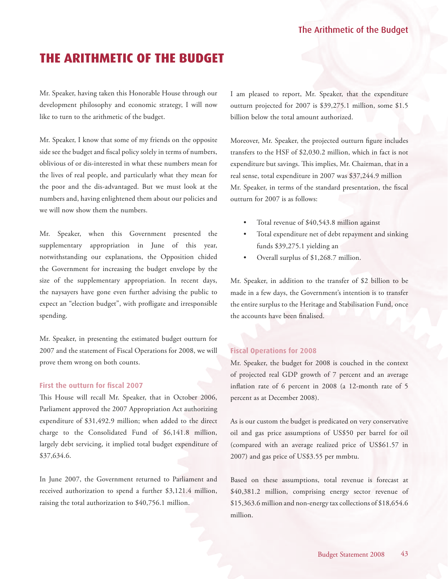# <span id="page-42-0"></span>**THE ARITHMETIC OF THE BUDGET**

Mr. Speaker, having taken this Honorable House through our development philosophy and economic strategy, I will now like to turn to the arithmetic of the budget.

Mr. Speaker, I know that some of my friends on the opposite side see the budget and fiscal policy solely in terms of numbers, oblivious of or dis-interested in what these numbers mean for the lives of real people, and particularly what they mean for the poor and the dis-advantaged. But we must look at the numbers and, having enlightened them about our policies and we will now show them the numbers.

Mr. Speaker, when this Government presented the supplementary appropriation in June of this year, notwithstanding our explanations, the Opposition chided the Government for increasing the budget envelope by the size of the supplementary appropriation. In recent days, the naysayers have gone even further advising the public to expect an "election budget", with profligate and irresponsible spending.

Mr. Speaker, in presenting the estimated budget outturn for 2007 and the statement of Fiscal Operations for 2008, we will prove them wrong on both counts.

### **First the outturn for fiscal 2007**

This House will recall Mr. Speaker, that in October 2006, Parliament approved the 2007 Appropriation Act authorizing expenditure of \$31,492.9 million; when added to the direct charge to the Consolidated Fund of \$6,141.8 million, largely debt servicing, it implied total budget expenditure of \$37,634.6.

In June 2007, the Government returned to Parliament and received authorization to spend a further \$3,121.4 million, raising the total authorization to \$40,756.1 million.

I am pleased to report, Mr. Speaker, that the expenditure outturn projected for 2007 is \$39,275.1 million, some \$1.5 billion below the total amount authorized.

Moreover, Mr. Speaker, the projected outturn figure includes transfers to the HSF of \$2,030.2 million, which in fact is not expenditure but savings. This implies, Mr. Chairman, that in a real sense, total expenditure in 2007 was \$37,244.9 million Mr. Speaker, in terms of the standard presentation, the fiscal outturn for 2007 is as follows:

- Total revenue of \$40,543.8 million against
- Total expenditure net of debt repayment and sinking funds \$39,275.1 yielding an
- Overall surplus of \$1,268.7 million.

Mr. Speaker, in addition to the transfer of \$2 billion to be made in a few days, the Government's intention is to transfer the entire surplus to the Heritage and Stabilisation Fund, once the accounts have been finalised.

#### **Fiscal Operations for 2008**

Mr. Speaker, the budget for 2008 is couched in the context of projected real GDP growth of 7 percent and an average inflation rate of 6 percent in 2008 (a 12-month rate of 5 percent as at December 2008).

As is our custom the budget is predicated on very conservative oil and gas price assumptions of US\$50 per barrel for oil (compared with an average realized price of US\$61.57 in 2007) and gas price of US\$3.55 per mmbtu.

Based on these assumptions, total revenue is forecast at \$40,381.2 million, comprising energy sector revenue of \$15,363.6 million and non-energy tax collections of \$18,654.6 million.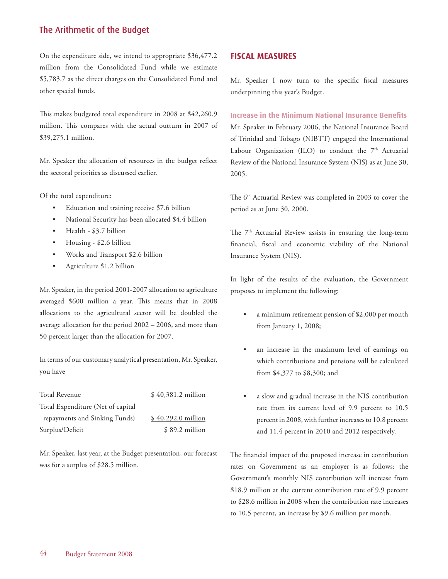<span id="page-43-0"></span>On the expenditure side, we intend to appropriate \$36,477.2 million from the Consolidated Fund while we estimate \$5,783.7 as the direct charges on the Consolidated Fund and other special funds.

This makes budgeted total expenditure in 2008 at \$42,260.9 million. This compares with the actual outturn in 2007 of \$39,275.1 million.

Mr. Speaker the allocation of resources in the budget reflect the sectoral priorities as discussed earlier.

Of the total expenditure:

- Education and training receive \$7.6 billion
- National Security has been allocated \$4.4 billion
- Health \$3.7 billion
- Housing \$2.6 billion
- Works and Transport \$2.6 billion
- Agriculture \$1.2 billion

Mr. Speaker, in the period 2001-2007 allocation to agriculture averaged \$600 million a year. This means that in 2008 allocations to the agricultural sector will be doubled the average allocation for the period 2002 – 2006, and more than 50 percent larger than the allocation for 2007.

In terms of our customary analytical presentation, Mr. Speaker, you have

| Total Revenue                     | $$40,381.2$ million |
|-----------------------------------|---------------------|
| Total Expenditure (Net of capital |                     |
| repayments and Sinking Funds)     | $$40,292.0$ million |
| Surplus/Deficit                   | $$89.2$ million     |

Mr. Speaker, last year, at the Budget presentation, our forecast was for a surplus of \$28.5 million.

## **FISCAL MEASURES**

Mr. Speaker I now turn to the specific fiscal measures underpinning this year's Budget.

#### **Increase in the Minimum National Insurance Benefits**

Mr. Speaker in February 2006, the National Insurance Board of Trinidad and Tobago (NIBTT) engaged the International Labour Organization (ILO) to conduct the  $7<sup>th</sup>$  Actuarial Review of the National Insurance System (NIS) as at June 30, 2005.

The 6<sup>th</sup> Actuarial Review was completed in 2003 to cover the period as at June 30, 2000.

The 7<sup>th</sup> Actuarial Review assists in ensuring the long-term financial, fiscal and economic viability of the National Insurance System (NIS).

In light of the results of the evaluation, the Government proposes to implement the following:

- a minimum retirement pension of \$2,000 per month from January 1, 2008;
- an increase in the maximum level of earnings on which contributions and pensions will be calculated from \$4,377 to \$8,300; and
- a slow and gradual increase in the NIS contribution rate from its current level of 9.9 percent to 10.5 percent in 2008, with further increases to 10.8 percent and 11.4 percent in 2010 and 2012 respectively.

The financial impact of the proposed increase in contribution rates on Government as an employer is as follows: the Government's monthly NIS contribution will increase from \$18.9 million at the current contribution rate of 9.9 percent to \$28.6 million in 2008 when the contribution rate increases to 10.5 percent, an increase by \$9.6 million per month.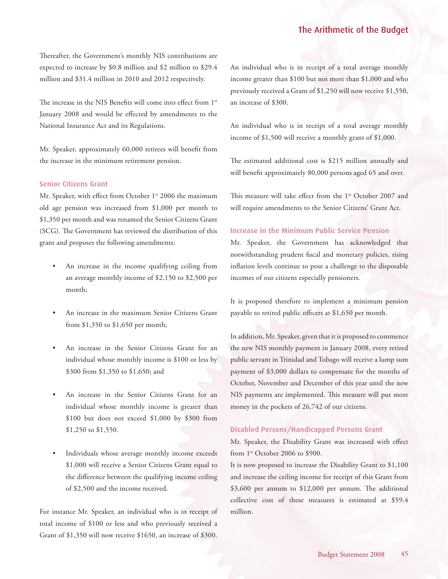Thereafter, the Government's monthly NIS contributions are expected to increase by \$0.8 million and \$2 million to \$29.4 million and \$31.4 million in 2010 and 2012 respectively.

The increase in the NIS Benefits will come into effect from 1<sup>st</sup> January 2008 and would be effected by amendments to the National Insurance Act and its Regulations.

Mr. Speaker, approximately 60,000 retirees will benefit from the increase in the minimum retirement pension.

#### **Senior Citizens Grant**

Mr. Speaker, with effect from October 1<sup>st</sup> 2006 the maximum old age pension was increased from \$1,000 per month to \$1,350 per month and was renamed the Senior Citizens Grant (SCG). The Government has reviewed the distribution of this grant and proposes the following amendments:

- An increase in the income qualifying ceiling from an average monthly income of \$2,150 to \$2,500 per month;
- An increase in the maximum Senior Citizens Grant from \$1,350 to \$1,650 per month;
- An increase in the Senior Citizens Grant for an individual whose monthly income is \$100 or less by \$300 from \$1,350 to \$1,650; and
- An increase in the Senior Citizens Grant for an individual whose monthly income is greater than \$100 but does not exceed \$1,000 by \$300 from \$1,250 to \$1,550.
- Individuals whose average monthly income exceeds \$1,000 will receive a Senior Citizens Grant equal to the difference between the qualifying income ceiling of \$2,500 and the income received.

For instance Mr. Speaker, an individual who is in receipt of total income of \$100 or less and who previously received a Grant of \$1,350 will now receive \$1650, an increase of \$300.

An individual who is in receipt of a total average monthly income greater than \$100 but not more than \$1,000 and who previously received a Grant of \$1,250 will now receive \$1,550, an increase of \$300.

An individual who is in receipt of a total average monthly income of \$1,500 will receive a monthly grant of \$1,000.

The estimated additional cost is \$215 million annually and will benefit approximately 80,000 persons aged 65 and over.

This measure will take effect from the 1<sup>st</sup> October 2007 and will require amendments to the Senior Citizens' Grant Act.

#### **Increase in the Minimum Public Service Pension**

Mr. Speaker, the Government has acknowledged that notwithstanding prudent fiscal and monetary policies, rising inflation levels continue to pose a challenge to the disposable incomes of our citizens especially pensioners.

It is proposed therefore to implement a minimum pension payable to retired public officers at \$1,650 per month.

In addition, Mr. Speaker, given that it is proposed to commence the new NIS monthly payment in January 2008, every retired public servant in Trinidad and Tobago will receive a lump sum payment of \$3,000 dollars to compensate for the months of October, November and December of this year until the new NIS payments are implemented. This measure will put more money in the pockets of 26,742 of our citizens.

#### **Disabled Persons/Handicapped Persons Grant**

Mr. Speaker, the Disability Grant was increased with effect from 1<sup>st</sup> October 2006 to \$900.

It is now proposed to increase the Disability Grant to \$1,100 and increase the ceiling income for receipt of this Grant from \$3,600 per annum to \$12,000 per annum. The additional collective cost of these measures is estimated at \$59.4 million.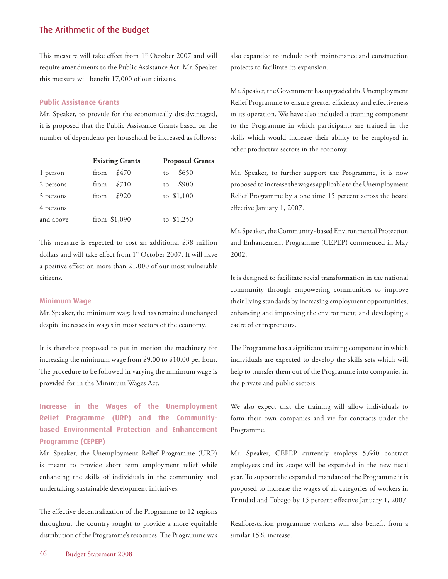This measure will take effect from 1<sup>st</sup> October 2007 and will require amendments to the Public Assistance Act. Mr. Speaker this measure will benefit 17,000 of our citizens.

#### **Public Assistance Grants**

Mr. Speaker, to provide for the economically disadvantaged, it is proposed that the Public Assistance Grants based on the number of dependents per household be increased as follows:

|           | <b>Existing Grants</b> | <b>Proposed Grants</b> |
|-----------|------------------------|------------------------|
| 1 person  | \$470<br>from          | \$650<br>to            |
| 2 persons | \$710<br>from          | \$900<br>to            |
| 3 persons | \$920<br>from          | to \$1,100             |
| 4 persons |                        |                        |
| and above | from $$1,090$          | to $$1,250$            |

This measure is expected to cost an additional \$38 million dollars and will take effect from 1<sup>st</sup> October 2007. It will have a positive effect on more than 21,000 of our most vulnerable citizens.

#### **Minimum Wage**

Mr. Speaker, the minimum wage level has remained unchanged despite increases in wages in most sectors of the economy.

It is therefore proposed to put in motion the machinery for increasing the minimum wage from \$9.00 to \$10.00 per hour. The procedure to be followed in varying the minimum wage is provided for in the Minimum Wages Act.

## **Increase in the Wages of the Unemployment Relief Programme (URP) and the Communitybased Environmental Protection and Enhancement Programme (CEPEP)**

Mr. Speaker, the Unemployment Relief Programme (URP) is meant to provide short term employment relief while enhancing the skills of individuals in the community and undertaking sustainable development initiatives.

The effective decentralization of the Programme to 12 regions throughout the country sought to provide a more equitable distribution of the Programme's resources. The Programme was

also expanded to include both maintenance and construction projects to facilitate its expansion.

Mr. Speaker, the Government has upgraded the Unemployment Relief Programme to ensure greater efficiency and effectiveness in its operation. We have also included a training component to the Programme in which participants are trained in the skills which would increase their ability to be employed in other productive sectors in the economy.

Mr. Speaker, to further support the Programme, it is now proposed to increase the wages applicable to the Unemployment Relief Programme by a one time 15 percent across the board effective January 1, 2007.

Mr. Speaker**,** the Community- based Environmental Protection and Enhancement Programme (CEPEP) commenced in May 2002.

It is designed to facilitate social transformation in the national community through empowering communities to improve their living standards by increasing employment opportunities; enhancing and improving the environment; and developing a cadre of entrepreneurs.

The Programme has a significant training component in which individuals are expected to develop the skills sets which will help to transfer them out of the Programme into companies in the private and public sectors.

We also expect that the training will allow individuals to form their own companies and vie for contracts under the Programme.

Mr. Speaker, CEPEP currently employs 5,640 contract employees and its scope will be expanded in the new fiscal year. To support the expanded mandate of the Programme it is proposed to increase the wages of all categories of workers in Trinidad and Tobago by 15 percent effective January 1, 2007.

Reafforestation programme workers will also benefit from a similar 15% increase.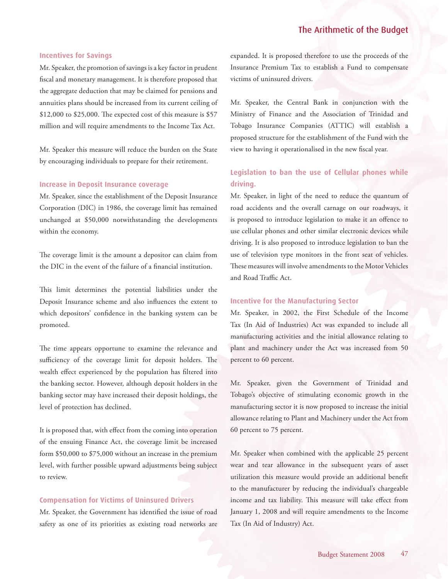#### **Incentives for Savings**

Mr. Speaker, the promotion of savings is a key factor in prudent fiscal and monetary management. It is therefore proposed that the aggregate deduction that may be claimed for pensions and annuities plans should be increased from its current ceiling of \$12,000 to \$25,000. The expected cost of this measure is \$57 million and will require amendments to the Income Tax Act.

Mr. Speaker this measure will reduce the burden on the State by encouraging individuals to prepare for their retirement.

#### **Increase in Deposit Insurance coverage**

Mr. Speaker, since the establishment of the Deposit Insurance Corporation (DIC) in 1986, the coverage limit has remained unchanged at \$50,000 notwithstanding the developments within the economy.

The coverage limit is the amount a depositor can claim from the DIC in the event of the failure of a financial institution.

This limit determines the potential liabilities under the Deposit Insurance scheme and also influences the extent to which depositors' confidence in the banking system can be promoted.

The time appears opportune to examine the relevance and sufficiency of the coverage limit for deposit holders. The wealth effect experienced by the population has filtered into the banking sector. However, although deposit holders in the banking sector may have increased their deposit holdings, the level of protection has declined.

It is proposed that, with effect from the coming into operation of the ensuing Finance Act, the coverage limit be increased form \$50,000 to \$75,000 without an increase in the premium level, with further possible upward adjustments being subject to review.

#### **Compensation for Victims of Uninsured Drivers**

Mr. Speaker, the Government has identified the issue of road safety as one of its priorities as existing road networks are expanded. It is proposed therefore to use the proceeds of the Insurance Premium Tax to establish a Fund to compensate victims of uninsured drivers.

Mr. Speaker, the Central Bank in conjunction with the Ministry of Finance and the Association of Trinidad and Tobago Insurance Companies (ATTIC) will establish a proposed structure for the establishment of the Fund with the view to having it operationalised in the new fiscal year.

## **Legislation to ban the use of Cellular phones while driving.**

Mr. Speaker, in light of the need to reduce the quantum of road accidents and the overall carnage on our roadways, it is proposed to introduce legislation to make it an offence to use cellular phones and other similar electronic devices while driving. It is also proposed to introduce legislation to ban the use of television type monitors in the front seat of vehicles. These measures will involve amendments to the Motor Vehicles and Road Traffic Act.

#### **Incentive for the Manufacturing Sector**

Mr. Speaker, in 2002, the First Schedule of the Income Tax (In Aid of Industries) Act was expanded to include all manufacturing activities and the initial allowance relating to plant and machinery under the Act was increased from 50 percent to 60 percent.

Mr. Speaker, given the Government of Trinidad and Tobago's objective of stimulating economic growth in the manufacturing sector it is now proposed to increase the initial allowance relating to Plant and Machinery under the Act from 60 percent to 75 percent.

Mr. Speaker when combined with the applicable 25 percent wear and tear allowance in the subsequent years of asset utilization this measure would provide an additional benefit to the manufacturer by reducing the individual's chargeable income and tax liability. This measure will take effect from January 1, 2008 and will require amendments to the Income Tax (In Aid of Industry) Act.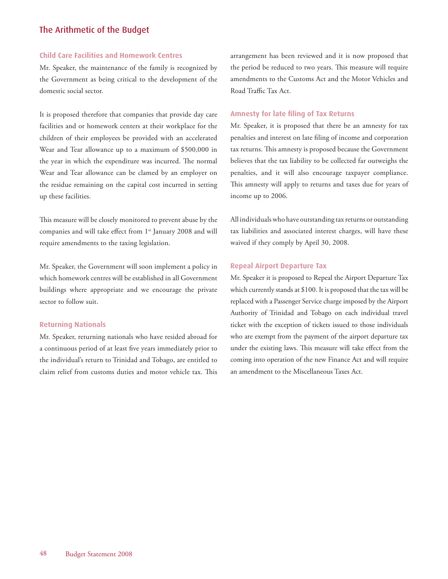#### **Child Care Facilities and Homework Centres**

Mr. Speaker, the maintenance of the family is recognized by the Government as being critical to the development of the domestic social sector.

It is proposed therefore that companies that provide day care facilities and or homework centers at their workplace for the children of their employees be provided with an accelerated Wear and Tear allowance up to a maximum of \$500,000 in the year in which the expenditure was incurred. The normal Wear and Tear allowance can be clamed by an employer on the residue remaining on the capital cost incurred in setting up these facilities.

This measure will be closely monitored to prevent abuse by the companies and will take effect from 1<sup>st</sup> January 2008 and will require amendments to the taxing legislation.

Mr. Speaker, the Government will soon implement a policy in which homework centres will be established in all Government buildings where appropriate and we encourage the private sector to follow suit.

#### **Returning Nationals**

Mr. Speaker, returning nationals who have resided abroad for a continuous period of at least five years immediately prior to the individual's return to Trinidad and Tobago, are entitled to claim relief from customs duties and motor vehicle tax. This arrangement has been reviewed and it is now proposed that the period be reduced to two years. This measure will require amendments to the Customs Act and the Motor Vehicles and Road Traffic Tax Act.

#### **Amnesty for late filing of Tax Returns**

Mr. Speaker, it is proposed that there be an amnesty for tax penalties and interest on late filing of income and corporation tax returns. This amnesty is proposed because the Government believes that the tax liability to be collected far outweighs the penalties, and it will also encourage taxpayer compliance. This amnesty will apply to returns and taxes due for years of income up to 2006.

All individuals who have outstanding tax returns or outstanding tax liabilities and associated interest charges, will have these waived if they comply by April 30, 2008.

#### **Repeal Airport Departure Tax**

Mr. Speaker it is proposed to Repeal the Airport Departure Tax which currently stands at \$100. It is proposed that the tax will be replaced with a Passenger Service charge imposed by the Airport Authority of Trinidad and Tobago on each individual travel ticket with the exception of tickets issued to those individuals who are exempt from the payment of the airport departure tax under the existing laws. This measure will take effect from the coming into operation of the new Finance Act and will require an amendment to the Miscellaneous Taxes Act.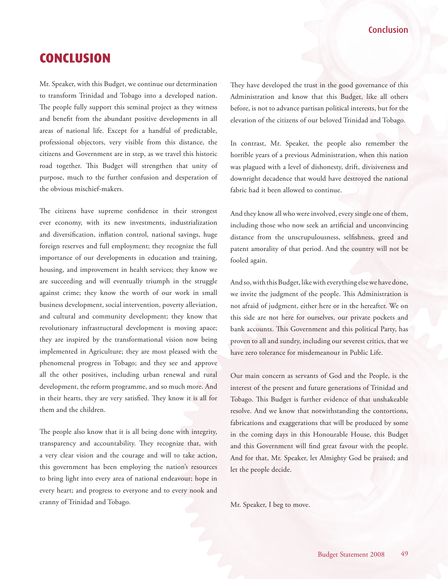## Conclusion

## <span id="page-48-0"></span>**CONCLUSION**

Mr. Speaker, with this Budget, we continue our determination to transform Trinidad and Tobago into a developed nation. The people fully support this seminal project as they witness and benefit from the abundant positive developments in all areas of national life. Except for a handful of predictable, professional objectors, very visible from this distance, the citizens and Government are in step, as we travel this historic road together. This Budget will strengthen that unity of purpose, much to the further confusion and desperation of the obvious mischief-makers.

The citizens have supreme confidence in their strongest ever economy, with its new investments, industrialization and diversification, inflation control, national savings, huge foreign reserves and full employment; they recognize the full importance of our developments in education and training, housing, and improvement in health services; they know we are succeeding and will eventually triumph in the struggle against crime; they know the worth of our work in small business development, social intervention, poverty alleviation, and cultural and community development; they know that revolutionary infrastructural development is moving apace; they are inspired by the transformational vision now being implemented in Agriculture; they are most pleased with the phenomenal progress in Tobago; and they see and approve all the other positives, including urban renewal and rural development, the reform programme, and so much more. And in their hearts, they are very satisfied. They know it is all for them and the children.

The people also know that it is all being done with integrity, transparency and accountability. They recognize that, with a very clear vision and the courage and will to take action, this government has been employing the nation's resources to bring light into every area of national endeavour; hope in every heart; and progress to everyone and to every nook and cranny of Trinidad and Tobago.

They have developed the trust in the good governance of this Administration and know that this Budget, like all others before, is not to advance partisan political interests, but for the elevation of the citizens of our beloved Trinidad and Tobago.

In contrast, Mr. Speaker, the people also remember the horrible years of a previous Administration, when this nation was plagued with a level of dishonesty, drift, divisiveness and downright decadence that would have destroyed the national fabric had it been allowed to continue.

And they know all who were involved, every single one of them, including those who now seek an artificial and unconvincing distance from the unscrupulousness, selfishness, greed and patent amorality of that period. And the country will not be fooled again.

And so, with this Budget, like with everything else we have done, we invite the judgment of the people. This Administration is not afraid of judgment, either here or in the hereafter. We on this side are not here for ourselves, our private pockets and bank accounts. This Government and this political Party, has proven to all and sundry, including our severest critics, that we have zero tolerance for misdemeanour in Public Life.

Our main concern as servants of God and the People, is the interest of the present and future generations of Trinidad and Tobago. This Budget is further evidence of that unshakeable resolve. And we know that notwithstanding the contortions, fabrications and exaggerations that will be produced by some in the coming days in this Honourable House, this Budget and this Government will find great favour with the people. And for that, Mr. Speaker, let Almighty God be praised; and let the people decide.

Mr. Speaker, I beg to move.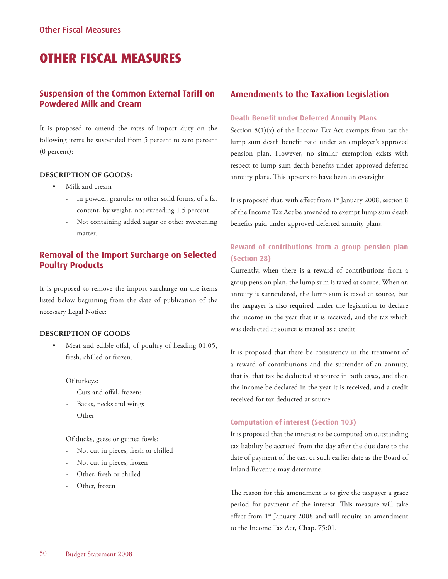## <span id="page-49-0"></span>**OTHER FISCAL MEASURES**

## **Suspension of the Common External Tariff on Powdered Milk and Cream**

It is proposed to amend the rates of import duty on the following items be suspended from 5 percent to zero percent (0 percent):

### **DESCRIPTION OF GOODS:**

- Milk and cream
	- In powder, granules or other solid forms, of a fat content, by weight, not exceeding 1.5 percent.
	- Not containing added sugar or other sweetening matter.

## **Removal of the Import Surcharge on Selected Poultry Products**

It is proposed to remove the import surcharge on the items listed below beginning from the date of publication of the necessary Legal Notice:

## **DESCRIPTION OF GOODS**

Meat and edible offal, of poultry of heading 01.05, fresh, chilled or frozen.

#### Of turkeys:

- Cuts and offal, frozen:
- Backs, necks and wings
- Other

Of ducks, geese or guinea fowls:

- Not cut in pieces, fresh or chilled
- Not cut in pieces, frozen
- Other, fresh or chilled
- Other, frozen

## **Amendments to the Taxation Legislation**

#### **Death Benefit under Deferred Annuity Plans**

Section  $8(1)(x)$  of the Income Tax Act exempts from tax the lump sum death benefit paid under an employer's approved pension plan. However, no similar exemption exists with respect to lump sum death benefits under approved deferred annuity plans. This appears to have been an oversight.

It is proposed that, with effect from 1<sup>st</sup> January 2008, section 8 of the Income Tax Act be amended to exempt lump sum death benefits paid under approved deferred annuity plans.

## **Reward of contributions from a group pension plan (Section 28)**

Currently, when there is a reward of contributions from a group pension plan, the lump sum is taxed at source. When an annuity is surrendered, the lump sum is taxed at source, but the taxpayer is also required under the legislation to declare the income in the year that it is received, and the tax which was deducted at source is treated as a credit.

It is proposed that there be consistency in the treatment of a reward of contributions and the surrender of an annuity, that is, that tax be deducted at source in both cases, and then the income be declared in the year it is received, and a credit received for tax deducted at source.

## **Computation of interest (Section 103)**

It is proposed that the interest to be computed on outstanding tax liability be accrued from the day after the due date to the date of payment of the tax, or such earlier date as the Board of Inland Revenue may determine.

The reason for this amendment is to give the taxpayer a grace period for payment of the interest. This measure will take effect from 1<sup>st</sup> January 2008 and will require an amendment to the Income Tax Act, Chap. 75:01.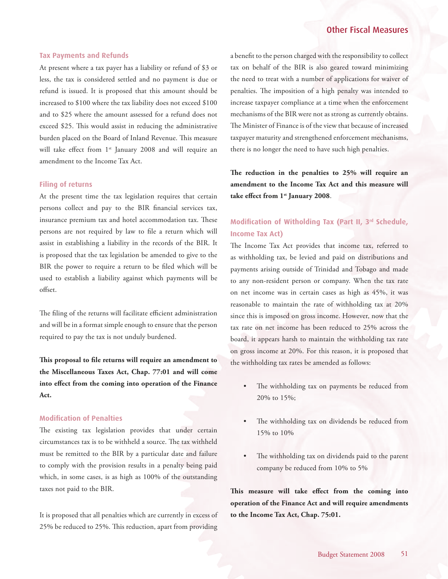## Other Fiscal Measures

#### **Tax Payments and Refunds**

At present where a tax payer has a liability or refund of \$3 or less, the tax is considered settled and no payment is due or refund is issued. It is proposed that this amount should be increased to \$100 where the tax liability does not exceed \$100 and to \$25 where the amount assessed for a refund does not exceed \$25. This would assist in reducing the administrative burden placed on the Board of Inland Revenue. This measure will take effect from 1<sup>st</sup> January 2008 and will require an amendment to the Income Tax Act.

#### **Filing of returns**

At the present time the tax legislation requires that certain persons collect and pay to the BIR financial services tax, insurance premium tax and hotel accommodation tax. These persons are not required by law to file a return which will assist in establishing a liability in the records of the BIR. It is proposed that the tax legislation be amended to give to the BIR the power to require a return to be filed which will be used to establish a liability against which payments will be offset.

The filing of the returns will facilitate efficient administration and will be in a format simple enough to ensure that the person required to pay the tax is not unduly burdened.

**This proposal to file returns will require an amendment to the Miscellaneous Taxes Act, Chap. 77:01 and will come into effect from the coming into operation of the Finance Act.**

#### **Modification of Penalties**

The existing tax legislation provides that under certain circumstances tax is to be withheld a source. The tax withheld must be remitted to the BIR by a particular date and failure to comply with the provision results in a penalty being paid which, in some cases, is as high as 100% of the outstanding taxes not paid to the BIR.

It is proposed that all penalties which are currently in excess of 25% be reduced to 25%. This reduction, apart from providing

a benefit to the person charged with the responsibility to collect tax on behalf of the BIR is also geared toward minimizing the need to treat with a number of applications for waiver of penalties. The imposition of a high penalty was intended to increase taxpayer compliance at a time when the enforcement mechanisms of the BIR were not as strong as currently obtains. The Minister of Finance is of the view that because of increased taxpayer maturity and strengthened enforcement mechanisms, there is no longer the need to have such high penalties.

**The reduction in the penalties to 25% will require an amendment to the Income Tax Act and this measure will take effect from 1st January 2008**.

## **Modification of Witholding Tax (Part II, 3rd Schedule, Income Tax Act)**

The Income Tax Act provides that income tax, referred to as withholding tax, be levied and paid on distributions and payments arising outside of Trinidad and Tobago and made to any non-resident person or company. When the tax rate on net income was in certain cases as high as 45%, it was reasonable to maintain the rate of withholding tax at 20% since this is imposed on gross income. However, now that the tax rate on net income has been reduced to 25% across the board, it appears harsh to maintain the withholding tax rate on gross income at 20%. For this reason, it is proposed that the withholding tax rates be amended as follows:

- The withholding tax on payments be reduced from 20% to 15%;
- The withholding tax on dividends be reduced from 15% to 10%
- The withholding tax on dividends paid to the parent company be reduced from 10% to 5%

**This measure will take effect from the coming into operation of the Finance Act and will require amendments to the Income Tax Act, Chap. 75:01.**